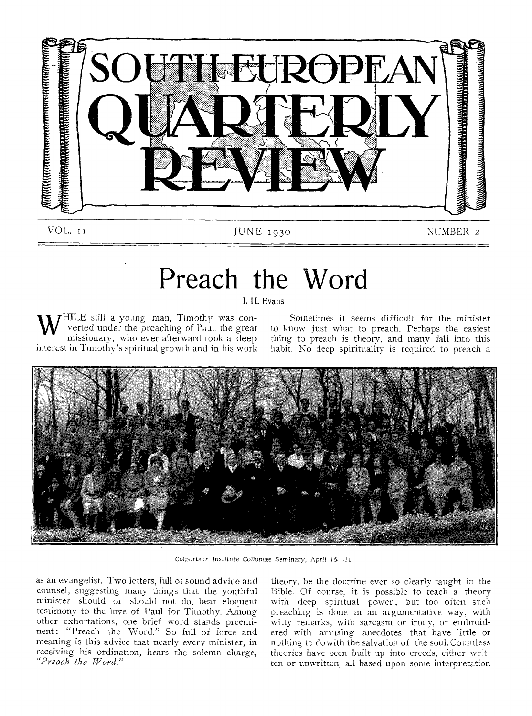

# Preach the Word

I. H. Evans

W<sup>HILE</sup> still a young man, Timothy was converted under the preaching of Paul, the great missionary, who ever afterward took a deep verted under the preaching of Paul, the great missionary, who ever afterward took a deep interest in Timothy's spiritual growth and in his work

Sometimes it seems difficult for the minister to know just what to preach. Perhaps the easiest thing to preach is theory, and many fall into this habit. No deep spirituality is required to preach a



Colporteur Institute Collonges *Seminary,* April 16-19

as an evangelist. Two letters, full or sound advice and counsel, suggesting many things that the youthful minister should or should not do, bear eloquent testimony to the love of Paul for Timothy. Among other exhortations, one brief word stands preeminent: "Preach the Word." So full of force and meaning is this advice that nearly every minister, in receiving his ordination, hears the solemn charge, *"Preach the Word."* 

theory, he the doctrine ever so clearly taught in the Bible. Of course, it is possible to teach a theory with deep spiritual power; but too often such preaching is done in an argumentative way, with witty remarks, with sarcasm or irony, or embroidered with amusing anecdotes that have little or nothing to do with the salvation of the soul. Countless theories have been built up into creeds, either written or unwritten, all based upon some interpretation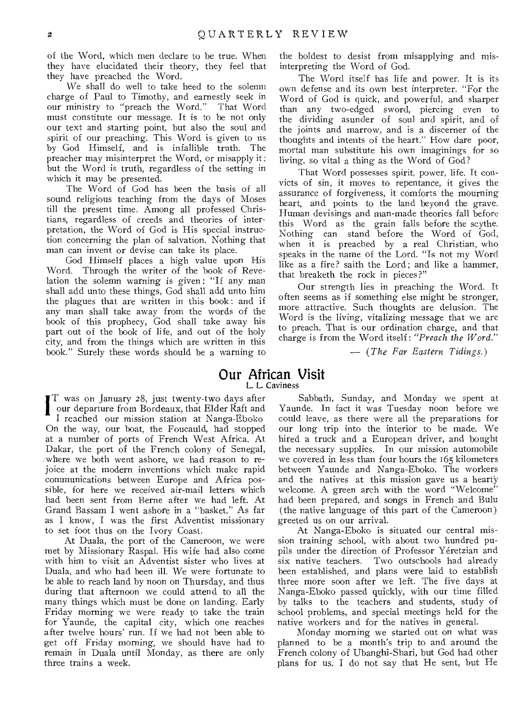of the Word, which men declare to be true. When they have elucidated their theory, they feel that they have preached the Word.

We shall do well to take heed to the solemn charge of Paul to Timothy, and earnestly seek in our ministry to "preach the Word." That Word must constitute our message. It is to be not only our text and starting point, but also the soul and spirit of our preaching. This Word is given to us by God Himself, and is infallible truth. The preacher may misinterpret the Word, or misapply it ; but the Word is truth, regardless of the setting in which it may be presented.

The Word of God has been the basis of all sound religious teaching from the days of Moses till the present time. Among all professed Christians, regardless of creeds and theories of interpretation, the Word of God is His special instruction concerning the plan of salvation. Nothing that man can invent or devise can take its place.

God Himself places a high value upon His<br>Word. Through the writer of the book of Reve-Through the writer of the book of Revelation the solemn warning is given: "If any man shall add unto these things, God shall add unto him the plagues that are written in this book : and if any man shall take away from the words of the book of this prophecy, God shall take away his part out of the book of life, and out of the holy city, and from the things which are written in this book." Surely these words should be a warning to the boldest to desist from misapplying and misinterpreting the Word of God.

The Word itself has life and power. It is its own defense and its own best interpreter. "For the Word of God is quick, and powerful, and sharper than any two-edged sword, piercing even to the dividing asunder of soul and spirit, and of the joints and marrow, and is a discerner of the thoughts and intents of the heart." How dare poor, mortal man substitute his own imaginings for so living, so vital a thing as the Word of God?

That Word possesses spirit, power, life. It convicts of sin, it moves to repentance, it gives the assurance of forgiveness, it comforts the mourning heart, and points to the land beyond the grave. Human devisings and man-made theories fall before this Word as the grain falls before the scythe. Nothing can stand before the Word of God, when it is preached by a real Christian, who speaks in the name of the Lord. "Is not my Word like as a fire? saith the Lord; and like a hammer, that breaketh the rock in pieces ?"

Our strength lies in preaching the Word. It often seems as if something else might be stronger, more attractive. Such thoughts are delusion. The Word is the living, vitalizing message that we are to preach. That is our ordination charge, and that charge is from the Word itself : *"Preach the Word."* 

*— (The Far Eastern Tidings.)* 

#### Our African Visit L. L. Caviness

our departure from Bordeaux, that Elder Raft and **T** was on January 28, just twenty-two days after I reached our mission station at Nanga-Eboko On the way, our boat, the Foucauld, had stopped at a number of ports of French West Africa. At Dakar, the port of the French colony of Senegal, where we both went ashore, we had reason to rejoice at the modern inventions which make rapid communications between Europe and Africa possible, for here we received air-mail letters which had been sent from Berne after we had left. At Grand Bassam I went ashore in a "basket." As far as I know, I was the first Adventist missionary to set foot thus on the Ivory Coast.

At Duala, the port of the Cameroon, we were met by Missionary Raspal. His wife had also come with him to visit an Adventist sister who lives at Duala, and who had been ill. We were fortunate to be able to reach land by noon on Thursday, and thus during that afternoon we could attend to all the many things which must be done on landing. Early Friday morning we were ready to take the train for Yaunde, the capital city, which one reaches after twelve hours' run. If we had not been able to get off Friday morning, we should have had to remain in Duala until Monday, as there are only three trains a week.

Sabbath, Sunday, and Monday we spent at Yaunde. In fact it was Tuesday noon before we could leave, as there were all the preparations for our long trip into the interior to be made. We hired a truck and a European driver, and bought the necessary supplies. In our mission automobile we covered in less than four hours the 165 kilometers between Yaunde and Nanga-Eboko. The workers and the natives at this mission gave us a hearty welcome. A green arch with the word "Welcome" had been prepared, and songs in French and Bulu (the native language of this part of the Cameroon) greeted us on our arrival.

At Nanga-Eboko is situated our central mission training school, with about two hundred pupils under the direction of Professor Yéretzian and six native teachers. Two outschools had already been established, and plans were laid to establish three more soon after we left. The five days at Nanga-Eboko passed quickly, with our time filled by talks to the teachers and students, study of school problems, and special meetings held for the native workers and for the natives in general.

Monday morning we started out on what was planned to be a month's trip to and around the French colony of Ubanghi-Shari, but God had other plans for us. I do not say that He sent, but He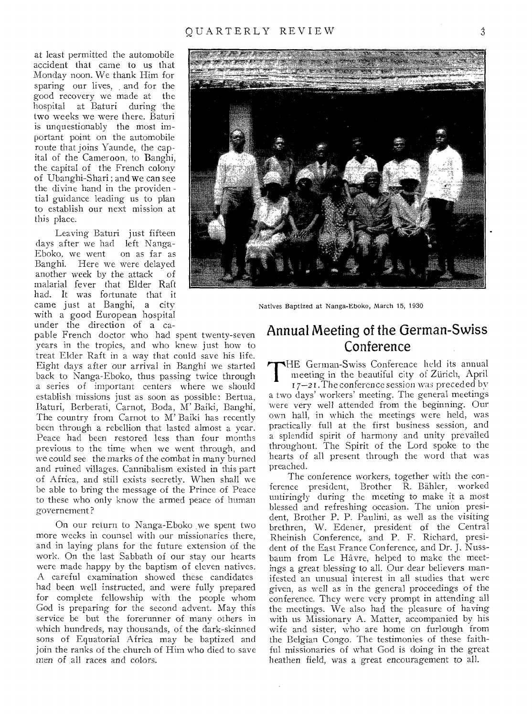at least permitted the automobile accident that came to us that Monday noon. We thank Him for sparing our lives, and for the good recovery we made at the hospital at Baturi during the two weeks we were there. Baturi is unquestionably the most important point on the automobile route that joins Yaunde, the capital of the Cameroon, to Banghi, the capital of the French colony of Ubanghi-Shari ; and we can see the divine hand in the providen tial guidance leading us to plan to establish our next mission at this place.

Leaving Baturi just fifteen days after we had left Nanga-<br>Eboko, we went on as far as Eboko, we went Banghi. Here we were delayed another week by the attack of malarial fever that Elder Raft had. It was fortunate that it came just at Banghi, a city with a good European hospital under the direction of a ca-

pable French doctor who had spent twenty-seven years in the tropics, and who knew just how to treat Elder Raft in a way that could save his life. Eight days after our arrival in Banghi we started back to Nanga-Eboko, thus passing twice through a series of important centers where we should establish missions just as soon as possible: Bertua, Baturi, Berberati, Carnot, Boda, M' Baiki, Banghi, The country from Carrot to M' Baiki has recently been through a rebellion that lasted almost a year. Peace had been restored less than four months previous to the time when we went through, and we could *see* the marks of the combat in many burned and ruined villages. Cannibalism existed in this part of Africa, and still exists secretly. When shall we be able to bring the message of the Prince of Peace to these who only know the armed peace of human governement?

On our return to Nanga-Eboko we spent two more weeks in counsel with our missionaries there, and in laying plans for the future extension of the work. On the last Sabbath of our stay our hearts were made happy by the baptism of eleven natives. A careful examination showed these candidates had been well instructed, and were fully prepared for complete fellowship with the people whom God is preparing for the second advent. May this service be but the forerunner of many others in which hundreds, nay thousands, of the dark-skinned sons of Equatorial Africa may be baptized and join the ranks of the church of Him who died to save men of all races and colors.



Natives Baptized at Nanga-Eboko, March 15, 1930

## Annual Meeting of the German-Swiss Conference

**THE German-Swiss Conference held its annual meeting in the beautiful city of Zürich, April 17–21. The conference session was preceded by** meeting in the beautiful city of Zurich, April 17-21. The conference session was preceded by a two days' workers' meeting. The general meetings were very well attended from the beginning. Our own hall, in which the meetings were held, was practically full at the first business session, and a splendid spirit of harmony and unity prevailed throughout. The Spirit of the Lord spoke to the hearts of all present through the word that was preached.

The conference workers, together with the conference president, Brother R. Bahler, worked untiringly during the meeting to make it a most blessed and refreshing occasion. The union president, Brother P. P. Paulini, as well as the visiting brethren, W. Edener, president of the Central Rheinish Conference, and P. F. Richard, president of the East France Conference, and Dr. J. Nussbaum from Le Havre, helped to make the meetings a great blessing to all. Our dear believers manifested an unusual interest in all studies that were given, as well as in the general proceedings of the conference. They were very prompt in attending all the meetings. We also had the pleasure of having with us Missionary A. Matter, accompanied by his wife and sister, who are home on furlough from the Belgian Congo. The testimonies of these faithful missionaries of what God is doing in the great heathen field, was a great encouragement to all.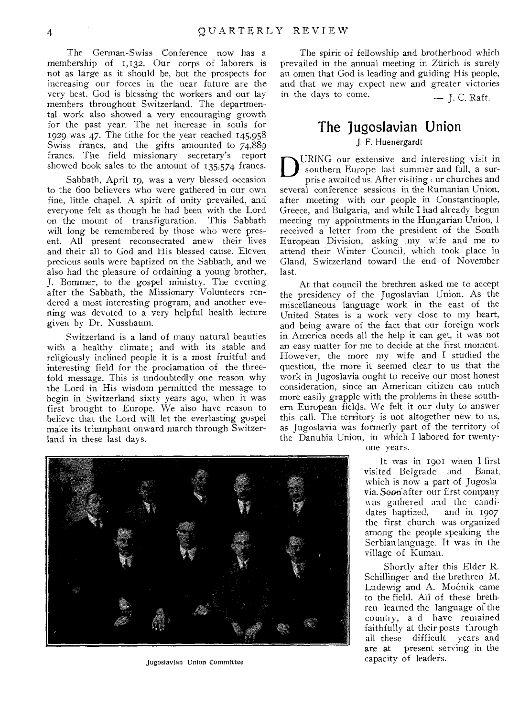The German-Swiss Conference now has a membership of 1,132. Our corps of laborers is not as large as it should be, but the prospects for increasing our forces in the near future are the very best. God is blessing the workers and our lay members throughout Switzerland. The departmental work also showed a very encouraging growth for the past year. The net increase in souls for 1929 was 47. The tithe for the year reached 145,958 Swiss francs, and the gifts amounted to 74,889 francs. The field missionary secretary's report showed book sales to the amount of 135,574 francs.

Sabbath, April 19, was a very blessed occasion to the 600 believers who were gathered in our own fine, little chapel. A spirit of unity prevailed, and everyone felt as though he had been with the Lord on the mount of transfiguration. This Sabbath will long be remembered by those who were present. All present reconsecrated anew their lives and their all to God and His blessed cause. Eleven precious souls were baptized on the Sabbath, and we also had the pleasure of ordaining a young brother, J. Bommer, to the gospel ministry. The evening after the Sabbath, the Missionary Volunteers rendered a most interesting program, and another evening was devoted to a very helpful health lecture given by Dr. Nussbaum.

Switzerland is a land of many natural beauties with a healthy climate; and with its stable and religiously inclined people it is a most fruitful and interesting field for the proclamation of the threefold message. This is undoubtedly one reason why the Lord in His wisdom permitted the message to begin in Switzerland sixty years ago, when it was first brought to Europe. We also have reason to believe that the Lord will let the everlasting gospel make its triumphant onward march through Switzerland in these last days.

The spirit of fellowship and brotherhood which prevailed in the annual meeting in Zürich is surely an omen that God is leading and guiding His people, and that we may expect new and greater victories in the days to come.  $\qquad \qquad -1$ . C. Raft.

## The Jugoslavian Union J. F. Huenergardt

**D** URING our extensive and interesting visit in southern Europe last summer and fall, a surprise awaited us. After visiting ( ur churches and several conference sessions in the Rumanian Union, after meeting with our people in Constantinople, Greece, and Bulgaria, and while I had already begun meeting my appointments in the Hungarian Union, I received a letter from the president of the South European Division, asking my wife and me to attend their Winter Council, which took place in Gland, Switzerland toward the end of November last.

At that council the brethren asked me to accept the presidency of the Jugoslavian Union. As the miscellaneous language work in the east of the United States is a work very close to my heart, and being aware of the fact that our foreign work in America needs all the help it can get, it was not an easy matter for me to decide at the first moment. However, the more my wife and I studied the question, the more it seemed clear to us that the work in Jugoslavia ought to receive our most honest consideration, since an American citizen can much more easily grapple with the problems in these southern European fields. We felt it our duty to answer this call. The territory is not altogether new to us, as Jugoslavia was formerly part of the territory of the Danubia Union, in which I labored for twenty-



Jugoslavian Union Committee

one years.

It was in 1901 when I first visited Belgrade and Banat, which is now a part of Jugosla via. Soonafter our first company was gathered and the candi-<br>dates baptized, and in 1907 dates baptized, the first church was organized among the people speaking the Serbian language. It was in the village of Kuman.

Shortly after this Elder R. Schillinger and the brethren M. Ludewig and A. Mocnik came to the field. All of these brethren learned the language of the country, a d have remained faithfully at their posts through all these difficult years and are at present serving in the capacity of leaders.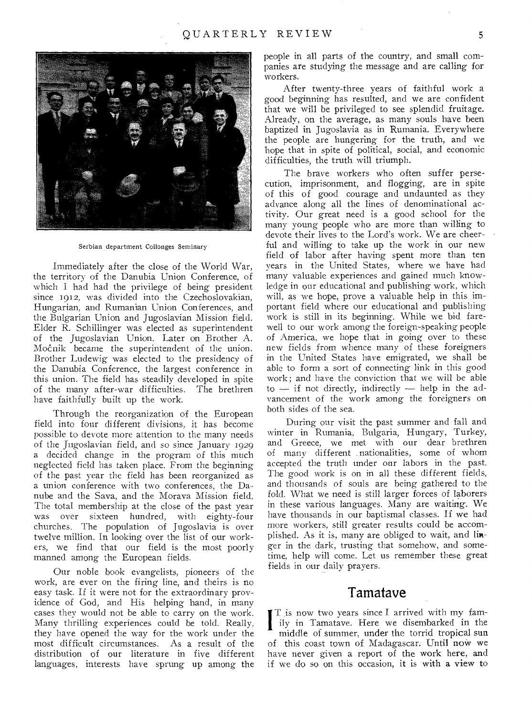

Serbian department Collonges Seminary

Immediately after the close of the World War, the territory of the Danubia Union Conference, of which I had had the privilege of being president since 1912, was divided into the Czechoslovakian, Hungarian, and Rumanian Union Conferences, and the Bulgarian Union and Jugoslavian Mission field. Elder R. Schillinger was elected as superintendent of the Jugoslavian Union. Later on Brother A. Mocnik became the superintendent of the union. Brother Ludewig was elected to the presidency of the Danubia Conference, the largest conference in this union. The field has steadily developed in spite of the many after-war difficulties. The brethren have faithfully built up the work.

Through the reorganization of the European field into four different divisions, it has become possible to devote more attention to the many needs of the Jugoslavian field, and so since January 1929 a decided change in the program of this much neglected field has taken place. From the beginning of the past year the field has been reorganized as a union conference with two conferences, the Danube and the Sava, and the Morava Mission field. The total membership at the close of the past year was over sixteen hundred, with eighty-four churches. The population of Jugoslavia is over twelve million. In looking over the list of our workers, we find that our field is the most poorly manned among the European fields.

Our noble book evangelists, pioneers of the work, are ever on the firing line, and theirs is no easy task. If it were not for the extraordinary providence of God, and His helping hand, in many cases they would not be able to carry on the work. Many thrilling experiences could be told. Really, they have opened the way for the work under the most difficult circumstances. As a result of the distribution of our literature in five different languages, interests have sprung up among the people in all parts of the country, and small companies are studying the message and are calling for workers.

After twenty-three years of faithful work a good beginning has resulted, and we are confident that we will be privileged to see splendid fruitage. Already, on the average, as many souls have been baptized in Jugoslavia as in Rumania. Everywhere the people are hungering for the truth, and we hope that in spite of political, social, and economic difficulties, the truth will triumph.

The brave workers who often suffer persecution, imprisonment, and flogging, are in spite of this of good courage and undaunted as they advance along all the lines of denominational activity. Our great need is a good school for the many young people who are more than willing to devote their lives to the Lord's work. We are cheerful and willing to take up the work in our new field of labor after having spent more than ten years in the United States, where we have had many valuable experiences and gained much knowledge in our educational and publishing work, which will, as we hope, prove a valuable help in this important field where our educational and publishing work is still in its beginning. While we bid farewell to our work among the foreign-speaking people of America, we hope that in going over to these new fields from whence many of these foreigners in the United States have emigrated, we shall be able to form a sort of connecting link in this good work ; and have the conviction that we will be able to — if not directly, indirectly — help in the advancement of the work among the foreigners on both sides of the sea.

During our visit the past summer and fall and winter in Rumania, Bulgaria, Hungary, Turkey, and Greece, we met with our dear brethren of many different nationalities, some of whom accepted the truth under our labors in the past. The good work is on in all these different fields, and thousands of souls are being gathered to the fold. What we need is still larger forces of laborers in these various languages. Many are waiting. We have thousands in our baptismal classes. If we had more workers, still greater results could be accomplished. As it is, many are obliged to wait, and linger in the dark, trusting that somehow, and sometime, help will come. Let us remember these great fields in our daily prayers.

### Tamatave

I T is now two years since I arrived with my family in Tamatave. Here we disembarked in the middle of summer, under the torrid tropical sun of this coast town of Madagascar. Until now we have never given a report of the work here, and if we do so on this occasion, it is with a view to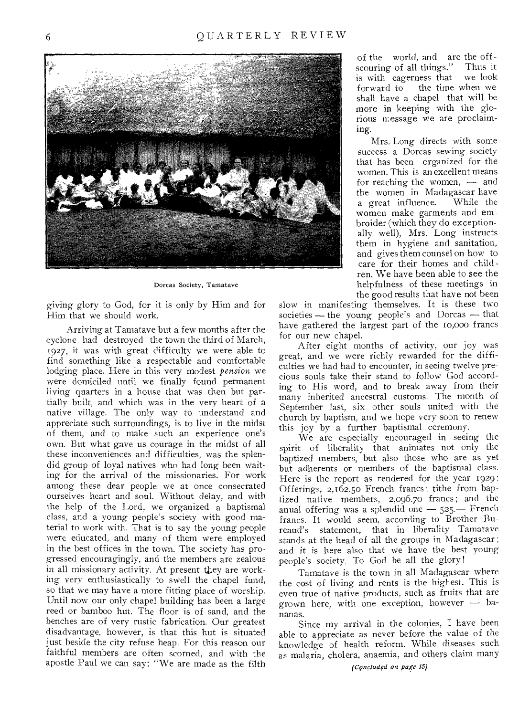

Dorcas Society, Tamatave

giving glory to God, for it is only by Him and for Him that we should work.

Arriving at Tamatave but a few months after the cyclone had destroyed the town the third of March, 1927, it was with great difficulty we were able to find something like a respectable and comfortable lodging place. Here in this very modest *pension* we were domiciled until we finally found permanent living quarters in a house that was then but partially built, and which was in the very heart of a native village. The only way to understand and appreciate such surroundings, is to live in the midst of them, and to make such an experience one's own. But what gave us courage in the midst of all these inconveniences and difficulties, was the splendid group of loyal natives who had long been waiting for the arrival of the missionaries. For work among these dear people we at once consecrated ourselves heart and soul. Without delay, and with the help of the Lord, we organized a baptismal class, and a young people's society with good material to work with. That is to say the young people were educated, and many of them were employed in the best offices in the town. The society has progressed encouragingly, and the members are zealous in all missionary activity. At present they are working very enthusiastically to swell the chapel fund, so that we may have a more fitting place of worship. Until now our only chapel building has been a large reed or bamboo hut. The floor is of sand, and the benches are of very rustic fabrication. Our greatest disadvantage, however, is that this hut is situated just beside the city refuse heap. For this reason our faithful members are often scorned, and with the apostle Paul we can say: "We are made as the filth

of the world, and are the offscouring of all things." Thus it is with eagerness that we look forward to the time when we shall have a chapel that will be more in keeping with the glorious message we are proclaiming.

Mrs. Long directs with some success a Dorcas sewing society that has been organized for the women. This is an excellent means for reaching the women, — and the women in Madagascar have a great influence. While the women make garments and embroider (which they do exceptionally well), Mrs. Long instructs them in hygiene and sanitation, and gives them counsel on how to care for their homes and children. We have been able to see the helpfulness of these meetings in the good results that have not been

slow in manifesting themselves. It is these two societies — the young people's and Dorcas — that have gathered the largest part of the 10,000 francs for our new chapel.

After eight months of activity, our joy was great, and we were richly rewarded for the difficulties we had had to encounter, in seeing twelve precious souls take their stand to follow God according to His word, and to break away from their many inherited ancestral customs. The month of September last, six other souls united with the church by baptism, and we hope very soon to renew this joy by a further baptismal ceremony.

We are especially encouraged in seeing the spirit of liberality that animates not only the baptized members, but also those who are as yet but adherents or members of the baptismal class. Here is the report as rendered for the year 1929: Offerings, 2,162.50 French francs ; tithe from baptized native members, 2,096.70 francs; and the anual offering was a splendid one — 525.— French francs. It would seem, according to Brother Bureaud's statement, that in liberality Tamatave stands at the head of all the groups in Madagascar ; and it is here also that we have the best young people's society. To God be all the glory!

Tamatave is the town in all Madagascar where the cost of living and rents is the highest. This is even true of native products, such as fruits that are grown here, with one exception, however  $-$  bananas.

Since my arrival in the colonies, I have been able to appreciate as never before the value of the knowledge of health reform. While diseases such as malaria, cholera, anaemia, and others claim many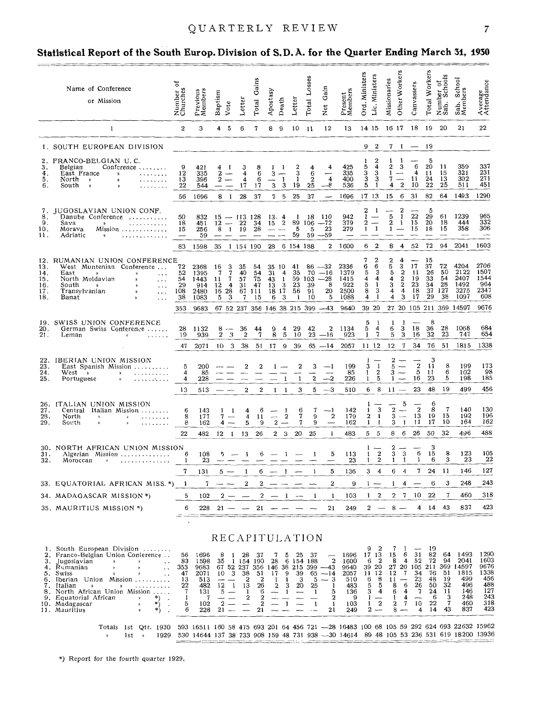## $\verb|QUARTERLY REVIEW|$

## Statistical Report of the South Europ. Division of S.D. A. for the Quarter Ending March 31, 1930

|                                        | Name of Conference<br>or Mission                                                                                                                                                                                                                                                                               | Number<br>Churches                | Previous<br>Members                         | Baptism                            | Vote                                                                                           | Letter                                  | Gains<br>Total                    | Apostasy                                            | Death                                                  | Letter                           | Total Losses                     | Gain<br>$\frac{t}{2}$                            | Present<br>Members                          | Ord. Ministers               | Lic. Ministers                     | Missionaries                           | Other Workers                                                 | Canvassers                        | Total Workers              | Number of<br>Sab. Schools             | Sab. School<br>Members                       | Average<br>Attendance                      |
|----------------------------------------|----------------------------------------------------------------------------------------------------------------------------------------------------------------------------------------------------------------------------------------------------------------------------------------------------------------|-----------------------------------|---------------------------------------------|------------------------------------|------------------------------------------------------------------------------------------------|-----------------------------------------|-----------------------------------|-----------------------------------------------------|--------------------------------------------------------|----------------------------------|----------------------------------|--------------------------------------------------|---------------------------------------------|------------------------------|------------------------------------|----------------------------------------|---------------------------------------------------------------|-----------------------------------|----------------------------|---------------------------------------|----------------------------------------------|--------------------------------------------|
|                                        | 1                                                                                                                                                                                                                                                                                                              | $\overline{2}$                    | 3                                           |                                    | 4 5                                                                                            | 6                                       | 7                                 | 8 9                                                 |                                                        | 10                               | $_{11}$                          | 12                                               | 13                                          | 14 15                        |                                    | 16 17                                  |                                                               | -18                               | - 19                       | 20                                    | 21                                           | 22                                         |
|                                        | 1. SOUTH EUROPEAN DIVISION                                                                                                                                                                                                                                                                                     |                                   |                                             |                                    |                                                                                                |                                         |                                   |                                                     |                                                        |                                  |                                  |                                                  |                                             |                              | 9 <sub>2</sub>                     |                                        |                                                               | $7 \t1 - 19$                      |                            |                                       |                                              |                                            |
| 2.<br>3.<br>4.<br>5.<br>6.             | FRANCO-BELGIAN U.C.<br>Belgian<br>Conference<br>East France<br>$\eta$<br>North »<br>Ŋ<br>$\mathbf{r}$ , and $\mathbf{r}$ , and $\mathbf{r}$<br>South<br>,,<br>$\boldsymbol{p}$                                                                                                                                 | 9<br>12<br>13<br>22               | 421<br>335<br>396<br>544                    | 4<br>$\mathbf{2}$<br>2             | -1<br>$\overline{\phantom{m}}$                                                                 | 3<br>4<br>$\overline{\mathbf{4}}$<br>17 | 8<br>6<br>6<br>17                 | 1<br>3<br>щ,<br>3                                   | -1<br>$\mathbf{1}$<br>3                                | 2<br>3<br>1<br>19                | 4<br>6<br>$\boldsymbol{2}$<br>25 | 4<br>4<br>8                                      | 425<br>335<br>400<br>536                    | 5<br>3<br>3<br>5             | 2<br>4<br>3<br>3<br>$\mathbf{1}$   | 1<br>$\overline{2}$<br>$1 -$<br>7<br>4 | -1<br>3<br>$\overline{c}$                                     | 6<br>4<br>11<br>10                | 5<br>20<br>-11<br>24<br>22 | -11<br>15<br>13<br>25                 | 359<br>321<br>302<br>511                     | 337<br>231<br>271<br>451                   |
|                                        |                                                                                                                                                                                                                                                                                                                | 56                                | 1696                                        |                                    | 8 1                                                                                            | 28                                      | 37                                |                                                     | 7 <sub>5</sub>                                         | 25                               | 37                               |                                                  | 1696                                        | 17 13                        |                                    | 15                                     | 6                                                             | 31                                | 82                         | 64                                    | 1493                                         | 1290                                       |
| $\bf 7$ .<br>8.<br>9.<br>10.<br>11.    | JUGOSLAVIAN UNION CONF.<br>Danube Conference<br>Sava<br>$\mathbf{B}$<br>Mission<br>Morava<br>Adriatic<br>$\ddot{\bm{v}}$                                                                                                                                                                                       | 50<br>18<br>15                    | 832<br>451<br>256<br>59                     | 12<br>8                            | $\overline{\phantom{a}}$<br>$\mathbf{1}$                                                       | $15 - 113$ 128<br>22<br>19              | -34<br>28                         | $13 - 4$<br>15 <sub>2</sub><br>$-\hspace{0.1cm}  -$ |                                                        | -1<br>5<br>59                    | 18<br>89 106<br>- 5<br>59        | 110<br>$-72$<br>23<br>$-59$                      | 942<br>379<br>279                           | 2<br>$\mathbf{1}$<br>2       | -1<br>$\equiv$<br>$\overline{1}$ 1 | 5<br>$\tilde{2}$<br>$\mathbf{1}$       | 2<br>$\mathbf{1}$<br>$\mathbf{I}$<br>$\overline{\phantom{0}}$ | 22<br>15<br>15                    | 5<br>29<br>20<br>18        | 61<br>18<br>15                        | 1239<br>444<br>358                           | 965<br>332<br>306<br>$\equiv$              |
|                                        |                                                                                                                                                                                                                                                                                                                | 83                                | 1598                                        | 35                                 |                                                                                                | 1 154 190                               |                                   | 28                                                  |                                                        | 6 154 188                        |                                  | $\mathbf{2}$                                     | 1600                                        | 6                            | $\overline{\phantom{a}}$           | 8                                      | $\overline{4}$                                                | 52                                | 72                         | 94                                    | 2041                                         | 1603                                       |
| 13.<br>14.<br>15.<br>16.<br>17.<br>18. | 12. RUMANIAN UNION CONFERENCE<br>West Muntenian Conference<br>East<br>$\mathbf{v}$<br>$\mathfrak{H}$<br>$\sim$ $\sim$<br>North Moldavian<br>$\pmb{\delta}$<br>$\sim$ $\sim$ $\sim$<br>South<br>$\sim$ $\sim$ $\sim$<br>$\boldsymbol{y}$<br>$\sim 10$<br>Transylvanian<br>$\eta$<br>$\cdots$<br>Banat<br>$\sim$ | 72<br>52<br>54<br>29<br>108<br>38 | 2368<br>1395<br>1443<br>914<br>2480<br>1083 | 16<br>7<br>11<br>12<br>16 28<br>-5 | 3<br>$\bar{7}$<br>7<br>$\overline{4}$<br>3                                                     | 35<br>40<br>57<br>31<br>67<br>7         | 54<br>54<br>75<br>47<br>111<br>15 | 35 10<br>31<br>43<br>13<br>6                        | -4<br>-1<br>3<br>18 17<br>3                            | 41<br>35<br>23<br>56<br>-1       | 70<br>59 103<br>39<br>91<br>10   | $86 - 32$<br>$-16$<br>$-28$<br>8<br>20<br>5      | 2336<br>1379<br>1415<br>922<br>2500<br>1088 | 6<br>5<br>4<br>$\frac{5}{8}$ | 6<br>3<br>4<br>-1<br>3<br>1        | 5<br>5<br>4<br>3<br>4<br>4             | 4<br>3<br>2<br>2<br>$\boldsymbol{2}$<br>4<br>3                | 17<br>-11<br>19<br>23<br>18<br>17 | 37<br>26<br>33<br>34<br>29 | 72<br>-50<br>54<br>28<br>37 127<br>38 | 4204<br>2122<br>2407<br>1492<br>3275<br>1097 | 2706<br>1507<br>1544<br>964<br>2347<br>608 |
|                                        |                                                                                                                                                                                                                                                                                                                | 353                               | 9683                                        |                                    |                                                                                                |                                         |                                   |                                                     |                                                        |                                  |                                  | 67 52 237 356 146 38 215 399 -43                 | 9640                                        |                              | 39 20                              |                                        |                                                               |                                   |                            |                                       | 27 20 105 211 369 14597                      | 9676                                       |
| 20.<br>21.                             | 19. SWISS UNION CONFERENCE<br>German Swiss Conference<br>Leman<br>ŋ,<br>1.1.1.1                                                                                                                                                                                                                                | 28<br>19                          | 1132<br>939                                 | $\overline{2}$                     | $8 -$<br>3                                                                                     | 36<br>$\overline{c}$                    | 44<br>7                           | 9<br>8                                              | 4<br>5                                                 | 29<br>10                         | 42<br>23                         | $\mathbf{2}$<br>$-16$                            | 1134<br>923                                 | 5<br>5<br>$\mathbf{1}$       | -1<br>4<br>$\mathbf 7$             | -1<br>6<br>5                           | -1<br>$\frac{3}{3}$                                           | 18<br>16                          | 8<br>36<br>32              | 28<br>23                              | 1068<br>747                                  | 684<br>654                                 |
|                                        |                                                                                                                                                                                                                                                                                                                | 47                                | 2071                                        |                                    | $10 \quad 3$                                                                                   | 38                                      | 51                                | 17                                                  | 9                                                      | 39                               |                                  | $65 - 14$                                        | 2057                                        |                              | 11 12                              | 12                                     | $\mathbf{7}$                                                  | 34                                | 76                         | 51                                    | 1815                                         | 1338                                       |
| 22.<br>23.<br>24.<br>25.               | IBERIAN UNION MISSION<br>East Spanish Mission<br>West »<br>$\pmb{v}$<br>$\alpha$ , and $\alpha$ , and $\alpha$ , and $\alpha$<br>Portuguese<br>$\boldsymbol{\mathfrak{H}}$<br><b>Contractor</b>                                                                                                                | 5<br>4<br>4                       | 200<br>85<br>228                            |                                    | $\frac{1}{2}$                                                                                  | $\mathbf{2}$                            | $\overline{2}$                    |                                                     | $1 -$<br>$\overline{1}$                                | $\boldsymbol{2}$<br>$\mathbf{1}$ | 3<br>$\overline{2}$              | $-1$<br>$-2$                                     | 199<br>85<br>226                            | 1<br>3<br>1<br>$\mathbf{1}$  | $\mathbf{1}$<br>2<br>5             | 1.                                     | $2 -$<br>$\frac{5}{3}$ —                                      | $\overline{2}$<br>5<br>16         | 3<br>11<br>11<br>23        | 8<br>6<br>5                           | 199<br>102<br>198                            | 173<br>-98<br>185                          |
|                                        |                                                                                                                                                                                                                                                                                                                | 13                                | 513                                         |                                    | $\frac{1}{2} \left( \frac{1}{2} \right) \left( \frac{1}{2} \right) \left( \frac{1}{2} \right)$ | $\overline{2}$                          | $\overline{2}$                    | 1                                                   | $\mathbf{1}$                                           | 3                                | 5                                | $-3$                                             | 510                                         | 6                            | 8                                  |                                        | $11 -$                                                        | 23                                | 48                         | 19                                    | 499                                          | 456                                        |
| 26.<br>27.<br>28.<br>29.               | ITALIAN UNION MISSION<br>Central Italian Mission<br>North<br>$\gamma$<br>$\hat{\mathbf{p}}$<br>المتعادية والمتحارث<br>South<br>$\mathbf{a}$<br>.                                                                                                                                                               | 6<br>8<br>8                       | 143<br>177<br>162                           | 1<br>4                             | $\mathbf{1}$<br>$7 -$                                                                          | 4<br>4<br>5                             | 6<br>11<br>9                      | $\overline{\phantom{a}}$<br>$\overline{a}$          | $\mathbf{1}$<br>$\ddot{2}$<br>$\overline{\phantom{a}}$ | $\frac{6}{7}$<br>$\overline{7}$  | 7<br>9<br>ğ                      | -1<br>$\overline{2}$<br>$\overline{\phantom{0}}$ | 142<br>179<br>162                           | 1.<br>$\mathbf{2}$<br>1      | 3<br>$\blacksquare$<br>-1          | 3                                      | 5<br>$2\,$ —<br>$3 -$<br>$\mathbf{1}$                         | $\overline{2}$<br>13<br>11        | 6<br>8<br>19<br>17         | $\overline{7}$<br>15<br>10            | 140<br>192<br>164                            | 130<br>196<br>162                          |
|                                        |                                                                                                                                                                                                                                                                                                                | 22                                | 482                                         | 12                                 | $\mathbf{1}$                                                                                   | 13                                      | 26                                |                                                     | $2 \quad 3$                                            | 20                               | 25                               | $\mathbf{1}$                                     | 483                                         | 5                            | - 5                                | 8                                      | 6                                                             | 26                                | 50                         | 32                                    | 496                                          | 488                                        |
| 31.<br>32.                             | 30. NORTH AFRICAN UNION MISSION<br>Algerian Mission<br>Moroccan<br>$\mathfrak{H}$<br>.                                                                                                                                                                                                                         | 6<br>-1                           | 108<br>23                                   | 5                                  |                                                                                                | $\mathbf{1}$                            | 6                                 |                                                     | -1                                                     |                                  | 1                                | 5                                                | 113<br>23                                   | 1<br>$\mathbf{1}$<br>1       | $\overline{c}$<br>$\overline{2}$   | 2<br>3<br>ī                            | $\frac{3}{1}$                                                 | 6<br>1                            | 3<br>15<br>6               | 8<br>3                                | 123<br>23                                    | 105<br>22                                  |
|                                        |                                                                                                                                                                                                                                                                                                                | $\mathbf 7$                       | 131                                         |                                    | $5 -$                                                                                          | $\mathbf{1}$                            | 6                                 |                                                     | -1                                                     |                                  | 1                                | 5                                                | 136                                         | 3                            | $\overline{4}$                     | 6                                      | $\overline{4}$                                                | 7                                 | 24                         | 11                                    | 146                                          | 127                                        |
|                                        | 33. EQUATORIAL AFRICAN MISS.*)                                                                                                                                                                                                                                                                                 | $\mathbf{1}$                      | 7                                           |                                    |                                                                                                | $\overline{2}$                          | $\overline{2}$                    |                                                     |                                                        |                                  |                                  | $\overline{2}$                                   | 9                                           |                              | $1 -$                              | $\mathbf{1}$                           | 4                                                             |                                   | 6                          | 3                                     | 248                                          | 243                                        |
|                                        | 34. MADAGASCAR MISSION *)                                                                                                                                                                                                                                                                                      | 5                                 | 102                                         |                                    | $2 -$                                                                                          |                                         |                                   | $2 - 1$                                             |                                                        |                                  | 1                                | $\mathbf{1}$                                     | 103                                         |                              | $1\quad 2$                         | $\mathbf{2}$                           | $\mathbf{7}$                                                  | 10                                | 22                         | $\mathcal{I}$                         | 460                                          | 318                                        |
|                                        | 35. MAURITIUS MISSION *)                                                                                                                                                                                                                                                                                       | 6                                 | 228                                         |                                    | $21 -$                                                                                         | $\overline{\phantom{a}}$                | 21                                |                                                     |                                                        |                                  |                                  | 21                                               | 249                                         |                              | $2 -$                              |                                        | $8 -$                                                         | 4                                 | 14                         | 43                                    | 837                                          | 423                                        |
|                                        | 1. South European Division                                                                                                                                                                                                                                                                                     |                                   |                                             |                                    |                                                                                                |                                         |                                   |                                                     |                                                        |                                  | RECAPITULATION                   |                                                  |                                             | 9                            | $\mathbf{2}$                       |                                        |                                                               | $7 \t1 \t- 19$                    |                            |                                       |                                              |                                            |

|                                    | $1st \rightarrow$ | 1929                                                                                                         |     |            |              |              |      |              |                |    |           |       |                                  |      |       |    |          |    |               |           |      | 530 14644 137 38 733 908 159 48 731 938 - 30 14614 89 48 105 53 236 531 619 18200 13936 |            |
|------------------------------------|-------------------|--------------------------------------------------------------------------------------------------------------|-----|------------|--------------|--------------|------|--------------|----------------|----|-----------|-------|----------------------------------|------|-------|----|----------|----|---------------|-----------|------|-----------------------------------------------------------------------------------------|------------|
|                                    |                   | Totals 1st Qtr. 1930 593 16511 160 58 475 693 201 64 456 721 -28 16483 100 68 105 59 292 624 693 22632 15962 |     |            |              |              |      |              |                |    |           |       |                                  |      |       |    |          |    |               |           |      |                                                                                         |            |
| 11. Mauritius                      |                   |                                                                                                              |     |            |              |              |      |              |                |    |           |       |                                  | 249  |       |    |          |    |               |           |      |                                                                                         |            |
| 10. Madagascar                     |                   |                                                                                                              |     | 102<br>228 |              |              |      |              |                |    |           |       |                                  | 103  |       | 2  |          |    | 10            | 22.<br>14 | 43   | 460<br>837                                                                              | 318<br>423 |
| 9, Equatorial African              |                   | $*$                                                                                                          |     |            |              |              |      |              |                |    |           |       |                                  |      |       |    |          |    |               |           |      | 248                                                                                     | 243        |
| 8. North African Union Mission     |                   |                                                                                                              |     | 131        |              | $5 =$        |      |              |                |    |           |       |                                  | 136  |       |    |          |    |               | 24        |      | 146                                                                                     | 127        |
| 7. Italian                         |                   |                                                                                                              | 22  | 482        | $12 \quad 1$ |              | -13  | 26           | $\overline{2}$ |    | -20       | -25   |                                  | 483. | 5.    | 5. |          | -6 | 26            | -50       | - 32 | 496                                                                                     | 488        |
| 6. Iberian Union                   | Mission           |                                                                                                              | 13  | 513        |              |              |      |              |                |    |           | 5.    | $-3$                             | 510  | 6.    |    |          |    | 23            | 48        | -19  | 499                                                                                     | 456        |
| 5. Swiss                           |                   |                                                                                                              | 47  | 2071       |              | $10 \quad 3$ | - 38 | - 51         | -17            | -9 | 39.       |       | $65 - 14$                        | 2057 |       |    | 11 12 12 |    | 34            | 76.       | -51  | 1815                                                                                    | 1338       |
| 4. Rumanian                        |                   |                                                                                                              | 353 | 9683       |              |              |      |              |                |    |           |       | 67 52 237 356 146 38 215 399 -43 | 9640 | 39 20 |    |          |    | 27 20 105 211 |           | -369 | 14597                                                                                   | 9676       |
| 3. Jugoslavian                     |                   |                                                                                                              | -83 | 1598       |              |              |      | 35 1 154 190 | -28            |    | 6 154 188 |       | $\mathbf{2}$                     | 1600 |       | 62 | 8        |    | 52            | - 72      | -94  | 2041                                                                                    | 1603       |
| 2. Franco-Belgian Union Conterence |                   |                                                                                                              | 56  | 1696       | 8.           |              | 28   | - 37         |                | 5. |           | 25 37 |                                  | 1696 |       |    | 15.      |    | 31            | 82.       | 64.  | 1493                                                                                    | 1290       |
|                                    |                   |                                                                                                              |     |            |              |              |      |              |                |    |           |       |                                  |      |       |    |          |    |               |           |      |                                                                                         |            |

\*) Report for the fourth quarter 1929.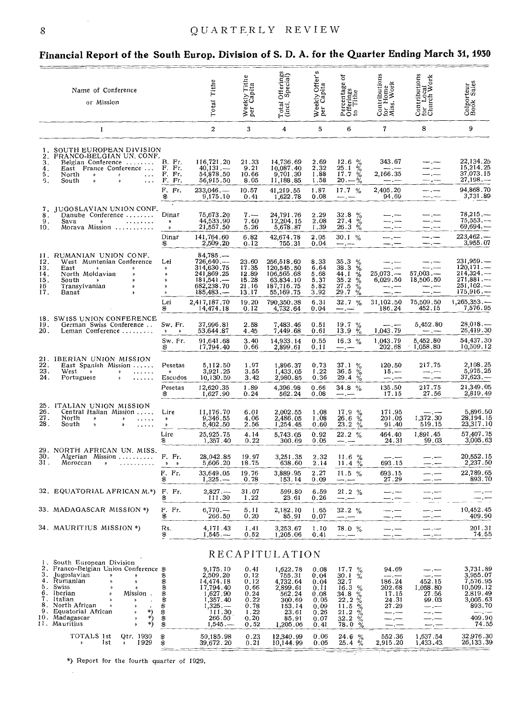## QUARTERLY REVIEW

## Financial Report of the South Europ. Division of S. D. A. for the Quarter Ending March 31, 1930

|                                       | Name of Conference<br>or Mission                                                                                                                                                                                                                                                                                                                                                                                                                                           |                                                                           | Tithe<br>Total                                                                                                    | Weekly Tithe<br>per Capita                                                                                  | Total Offerings<br>(incl. Special)                                                                         | Weekly Offer's<br>per Capita                                                 | 5°<br>Percentage of<br>Offerings<br>to Tithe                                                                                                | Contributions<br>for Home<br>Miss. Work                                          | Contributions<br>for Local<br>Church Work                              | Colporteur<br>Book Sales                                                                                  |
|---------------------------------------|----------------------------------------------------------------------------------------------------------------------------------------------------------------------------------------------------------------------------------------------------------------------------------------------------------------------------------------------------------------------------------------------------------------------------------------------------------------------------|---------------------------------------------------------------------------|-------------------------------------------------------------------------------------------------------------------|-------------------------------------------------------------------------------------------------------------|------------------------------------------------------------------------------------------------------------|------------------------------------------------------------------------------|---------------------------------------------------------------------------------------------------------------------------------------------|----------------------------------------------------------------------------------|------------------------------------------------------------------------|-----------------------------------------------------------------------------------------------------------|
|                                       | $\mathbf{1}$                                                                                                                                                                                                                                                                                                                                                                                                                                                               |                                                                           | $\overline{a}$                                                                                                    | 3                                                                                                           | $4\overline{ }$                                                                                            | $5\phantom{.0}$                                                              | 6                                                                                                                                           | $7\phantom{.}$                                                                   | 8                                                                      | 9                                                                                                         |
| 2.<br>3.<br>4.<br>5.<br>5.            | 1. SOUTH EUROPEAN DIVISION<br>FRANCO-BELGIAN UN. CONF.<br>Belgian Conference<br>East France Conference<br>North<br>$\rightarrow$<br>$\mathcal{B}$<br>$\sim$ $\sim$ $\sim$<br>South<br>D.<br>$\sim 100$<br>D                                                                                                                                                                                                                                                                | B. Fr.<br>F. Fr.<br>F. Fr.<br>F. Fr.<br>F. Fr.<br>\$                      | 116,721.20<br>$40,131--$<br>54,878.50<br>56,915.50<br>233,046<br>9,175.10                                         | 21.33<br>9.21<br>10.66<br>8.05<br>10.57<br>0.41                                                             | 14,736.69<br>10,087.40<br>9,701.30<br>11,188.85<br>41,219.55<br>1,622.78                                   | 2.69<br>2.32<br>1.88<br>1.58<br>1.87<br>0.08                                 | $12.6 \%$<br>$25.1 \%$<br>$17.7 \%$<br>$20 - \%$<br>17.7 %<br>$-,-$                                                                         | 343.67<br>$---, ---$<br>2,166.35<br>$\qquad \qquad -\qquad$<br>2,405.20<br>94.69 | $-$ , $-$<br>$\equiv:=$<br>$-$ , $-$<br>$-1$<br>$ -$                   | 22,134.25<br>15,214.25<br>37,073.15<br>27,198<br>94,868,70<br>3,731.89                                    |
| 7.<br>8.<br>$9$ .<br>10.              | JUGOSLAVIAN UNION CONF.<br>Danube Conference<br>Sava<br>$\sim$ $ \sim$ $\sim$ $\sim$ $\sim$ $\sim$ $\sim$ $\sim$<br>$\mathcal{R}$<br>Morava Mission                                                                                                                                                                                                                                                                                                                        | Dinar<br>$\pmb{n}$<br>D<br>Dinar<br>86 D                                  | 75,673.20<br>44,533.90<br>21,557.50<br>141,764.60<br>2,509.20                                                     | $7. -$<br>7.60<br>5.26<br>6.82<br>0.12                                                                      | 24,791.76<br>12,204.15<br>5,678.87<br>42,674.78<br>755.31                                                  | 2.29<br>2.08<br>I.39<br>2.05<br>0.04                                         | $\begin{array}{ll} 32.8 & \!\! \% \\ 27.4 & \!\! \% \\ 26.3 & \!\! \% \end{array}$<br>30.1%<br>$-\,$ . $-$                                  | $-\,$<br>$=$ : $=$<br>$-,-$<br>----                                              | $-$ . $-$<br>--.--<br>—.—                                              | 78,215<br>75,553<br>69,694.<br>223,462<br>3,955.07                                                        |
| 12.<br>13.<br>14.<br>15.<br>16<br>17. | 11. RUMANIAN UNION CONF.<br>West Muntenian Conference<br>East<br>$\gamma$<br>$\boldsymbol{v}$<br>North Moldavian<br>$\,$<br>South<br>$\mathbf{v}$ and $\mathbf{v}$<br>$\boldsymbol{v}$<br>Transylvanian<br>$\pmb{y}$<br>Banat                                                                                                                                                                                                                                              | Lei<br>$\mathfrak{D}$<br>$\pmb{v}$<br>$\eta$<br>$\pmb{v}$<br>$\mathbf{p}$ | 84,785<br>726,640<br>314,630.75<br>241,869.25<br>$181,541-682,238.70$<br>185,483                                  | 23.60<br>17.35<br>12.89<br>15.28<br>21.16<br>13.17                                                          | 256,518.60<br>120,545.50<br>106,565.68<br>63,834.10<br>187,716.75<br>55,169.75                             | 8.33<br>6.64<br>5.68<br>5.37<br>5.82<br>3,92                                 | $35.3\%$<br>$38.3\%$<br>$44.1\%$<br>$35.2\%$<br>$27.5\%$<br>29.7%                                                                           | $25,073.$ -<br>6,029.50<br>$-\,$ , $-\,$<br>—., —                                | --.--<br>$57,003$ .<br>18,506.50<br>$\pm$ ; $\pm$                      | $231,959.$ —<br>120,171<br>214,324<br>271,881<br>251,102<br>$175,916-$                                    |
| 19.<br>20.                            | 18. SW1SS UNION CONFERENCE<br>German Swiss Conference<br>Leman Conference                                                                                                                                                                                                                                                                                                                                                                                                  | Lei<br>\$8<br>Sw. Fr.<br>$\mathbf{p}$ , $\mathbf{p}$<br>Sw. Fr.<br>S.     | 2,417,187.70<br>14,474.18<br>37,996.81<br>53,644.87<br>91,641.68<br>17,794.40                                     | 19.20<br>0.12<br>2.58<br>4.45<br>3.40<br>0.66                                                               | 790,350,38<br>4,732.64<br>7,483.46<br>7,449.68<br>14,933.14<br>2.899.61                                    | 6.31<br>0.04<br>0.51<br>0.61<br>0.55<br>0.11                                 | 32.7%<br>$-,-$<br>$\begin{array}{cc} 19.7 & \% \\ 13.9 & \% \end{array}$<br>16.3 $%$<br>$---, ---$                                          | 31,102.50<br>186.24<br>$\qquad \qquad -\qquad$<br>1,043.79<br>1,043.79<br>202.68 | 75,509.50<br>452.15<br>5,452.80<br>$\sim$ $ -$<br>5,452.80<br>1,058.80 | 1,265,353<br>7,576.95<br>28,018<br>26,419.30<br>54,437.30<br>10,509.12                                    |
| 22.<br>$\frac{23}{24}$ .              | 21. IBERIAN UNION MISSION<br>East Spanish Mission<br>West<br>$\pmb{v}$<br>$\mathcal{D}$<br>$\sim$<br>Portuguese<br>$\mathcal{B}$                                                                                                                                                                                                                                                                                                                                           | Pesetas<br>$\mathbf{w}$<br>Escudos<br>Pesetas<br>\$                       | 5,112.50<br>3,921.25<br>10,130.59<br>12,620.35<br>1,627.90                                                        | 1.97<br>3.55<br>3.42<br>1.89<br>0.24                                                                        | 1,896.37<br>1,433.05<br>2,980.85<br>4,396.98<br>562.24                                                     | 0.73<br>I.22<br>0.36<br>0.66<br>0.08                                         | $37.1 \%$<br>36.5 %<br>29.4%<br>34.8 $%$<br>$\frac{1}{2}$                                                                                   | 120.50<br>$15 -$<br>$-\,,-$<br>135.50<br>17.15                                   | 217.75<br>$\overline{-}$ : $\overline{-}$<br>217.75<br>27.56           | 2,108.25<br>5,975.25<br>$37,623. -$<br>21,349.05<br>2,819.49                                              |
| 25.<br>26.<br>$^{27}_{28}$ .          | ITALIAN UNION MISSION<br>Central Italian Mission<br>North<br>$\mathcal{O}(\mathbb{R}^3)$ . The second $\mathcal{O}(\mathbb{R}^3)$<br>$\pmb{v}$<br>South<br>$\sim$ , $\sim$ , $\sim$<br>v                                                                                                                                                                                                                                                                                   | Lire<br>$\mathbf{v}$<br>$\mathfrak{D}$<br>Lire                            | 11,176.70<br>9,346.55<br>5,402.50<br>25,925.75                                                                    | 6.01<br>4.06<br>2.56<br>4.14                                                                                | 2,002.55<br>2,486.05<br>1,254.45<br>5,743.05                                                               | 1.08<br>1,08<br>0.60<br>0.92                                                 | $\begin{array}{rr} 17.9 & \!\% \\ 26.6 & \!\% \\ 23.2 & \!\% \end{array}$<br>22.2%                                                          | 171.95<br>201.05<br>91.40<br>464.40                                              | 1,372.30<br>519.15<br>1,891.45                                         | 5,896.50<br>28,194.15<br>23,317.10<br>57,407.75                                                           |
| 30.<br>31.                            | 29. NORTH AFRICAN UN. MISS.<br>Algerian Mission  F. Fr.<br>Moroccan                                                                                                                                                                                                                                                                                                                                                                                                        | $^{\circ}$<br>F. Fr.                                                      | 1,357.40<br>28,042.85<br>5,606.20<br>33,649.05<br>$1,325-$                                                        | 0.22<br>19.97<br>18.75<br>19.76<br>0.78                                                                     | 300.69<br>3,251.35<br>638.60<br>3,889.95<br>153.14                                                         | 0.05<br>2.32<br>2.14<br>2.27<br>0.09                                         | $-$ , $-$<br>$\begin{array}{cc} 11.6 & \% \\ 11.4 & \% \end{array}$<br>11.5%<br>$\overline{\phantom{m}}$ , $\overline{\phantom{m}}$         | 24.31<br>$-,-$<br>693.15<br>693.15<br>27.29                                      | 99.03<br>$-$ . $-$<br>$-\,$<br>$-,-$<br>$--,-$                         | 3,005.63<br>20,552.15<br>2,237.50<br>22,789.65<br>893.70                                                  |
|                                       | 32. EQUATORIAL AFRICAN M.*)                                                                                                                                                                                                                                                                                                                                                                                                                                                | F. Fr.<br>\$                                                              | 2,827<br>111.30                                                                                                   | 31.07<br>1.22                                                                                               | 599.80<br>23.61                                                                                            | 6.59<br>0.26                                                                 | 21.2%                                                                                                                                       |                                                                                  |                                                                        | – . <del>– –</del><br>T.T                                                                                 |
|                                       | 33. MADAGASCAR MISSION *)                                                                                                                                                                                                                                                                                                                                                                                                                                                  | F. Fr.<br>\$                                                              | 6,770<br>266.50                                                                                                   | 5.11<br>0.20                                                                                                | 2,182.10<br>85.91                                                                                          | 1.65<br>0.07                                                                 | 32.2%<br>$-,-$                                                                                                                              |                                                                                  |                                                                        | 10,452.45<br>409.90                                                                                       |
|                                       | 34. MAURITIUS MISSION *)                                                                                                                                                                                                                                                                                                                                                                                                                                                   | Rs.<br>\$                                                                 | 4,171.43<br>1,545                                                                                                 | I.41<br>0.52                                                                                                | 3,253.67<br>1,205.06                                                                                       | 1.10<br>0.41                                                                 | 78.0 %<br>—— , ——                                                                                                                           | $-\,$ . $-$<br>----                                                              | سب راست<br>$  -$                                                       | 201.31<br>74.55                                                                                           |
|                                       |                                                                                                                                                                                                                                                                                                                                                                                                                                                                            |                                                                           |                                                                                                                   |                                                                                                             | RECAPITULATION                                                                                             |                                                                              |                                                                                                                                             |                                                                                  |                                                                        |                                                                                                           |
|                                       | 1. South European Division<br>2. Franco-Belgian Union Conference \$<br>3. Jugoslavian<br>$\pmb{v}$<br>*<br>4. Rumanian<br>$\overline{\partial}$<br>5. Swiss<br>$\mathfrak{H}$<br>6. Iberian<br>Mission.<br>ý<br>7. Italian<br>»<br>$\ddot{\phantom{a}}$<br>8. North African<br>$\boldsymbol{\eta}$<br>$\boldsymbol{\mathcal{V}}$<br>$\cdot$<br>$\begin{array}{c} \ast \ni \\ \ast \ni \end{array}$<br>9. Equatorial African<br>ŋ,<br>10. Madagascar<br>D)<br>11. Mauritius | \$<br>\$<br>\$<br>\$<br>\$<br>*****                                       | 9,175.10<br>2,509.20<br>14,474.18<br>17,794.40<br>1,627.90<br>$1,357.40$<br>$1,325.$<br>111.30<br>266.50<br>1,545 | 0.41<br>0.12<br>0.12<br>0.66<br>0.24<br>$\begin{array}{c} 0.22 \\ 0.78 \end{array}$<br>1.22<br>0.20<br>0.52 | $1,622.78$<br>$755.31$<br>4,732.64<br>2,899.61<br>562.24<br>300.69<br>153.14<br>23.61<br>85.91<br>1,205.06 | 0.08<br>0.04<br>0.04<br>0.11<br>0.08<br>0.05<br>0.09<br>0.26<br>0.07<br>0.41 | $17.7\%$<br>30.1%<br>$\frac{32.7}{16.3}$ %<br>$\begin{array}{l} 10.8 \\ 34.8 \\ 22.2 \\ 11.5 \\ 21.2 \\ 32.2 \\ 78.0 \\ \hline \end{array}$ | 94.69<br>$---, ---$<br>186.24<br>202.68<br>17.15<br>24.31<br>27.29               | 452.15<br>1,058.80<br>27.56<br>99.03<br>-.--<br>—<br>-.--<br>—         | 3,731.89<br>3,955.07<br>7,576.95<br>10,509.12<br>2,819.49<br>3,005.63<br>893.70<br>---<br>409.90<br>74.55 |
|                                       | TOTALS 1st<br>Qtr. 1930<br>Ist<br>1929<br>ø<br>»                                                                                                                                                                                                                                                                                                                                                                                                                           | \$<br>\$                                                                  | 50,185.98<br>39,672.20                                                                                            | 0.23<br>0.21                                                                                                | 12,340.99<br>10,144.99                                                                                     | 0.06<br>0.05                                                                 | $24.6\%$<br>$25.4\%$                                                                                                                        | 552.36<br>2,915.20                                                               | 1,637.54<br>1,433,43                                                   | 32,976.30<br>26,133.39                                                                                    |

\*) Report for the fourth quarter of 1929.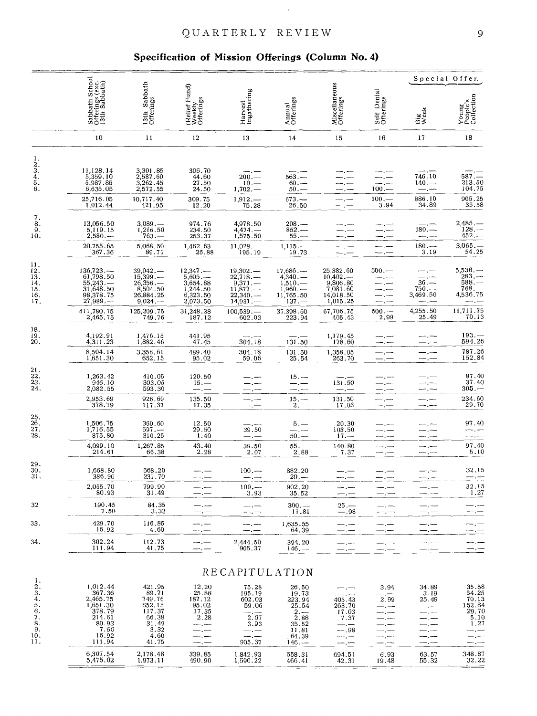## $QUARTERLY \quad REVIEW$

## Specification of Mission Offerings (Column No. 4)

|                                                                           |                                                                                                    |                                                                                          |                                                                  |                                                                                                 |                                                                                       |                                                                      |                            |                                                               | Special Offer.                                             |
|---------------------------------------------------------------------------|----------------------------------------------------------------------------------------------------|------------------------------------------------------------------------------------------|------------------------------------------------------------------|-------------------------------------------------------------------------------------------------|---------------------------------------------------------------------------------------|----------------------------------------------------------------------|----------------------------|---------------------------------------------------------------|------------------------------------------------------------|
|                                                                           | Sabbath School<br>Offerings (exc.<br>13th Sabbath)                                                 | 13th Sabbath<br>Offerings                                                                | (Relief Fund)<br>Weekly<br>Offerings                             | Harvest<br>Ingathering                                                                          | Annual<br>Offerings                                                                   | Miscellaneous<br>Offerings                                           | Self Denial<br>Offerings   | Big<br>Week                                                   | Young<br>People's<br>Collection                            |
|                                                                           | 10                                                                                                 | 11                                                                                       | 12                                                               | 13                                                                                              | 14                                                                                    | 15                                                                   | 16                         | 17                                                            | 18                                                         |
| 1.<br>2.<br>$\frac{3}{4}$ .<br>5.                                         | 11,128.14<br>5,359.10<br>5,987.85                                                                  | 3,301.85<br>2,587.60<br>3,262.45                                                         | 306.70<br>44.60<br>27.50                                         | $200. -$<br>$10 -$                                                                              | $563 -$<br>$60 -$                                                                     |                                                                      |                            | 746.10<br>$140 -$                                             | $587. - 213.50$                                            |
| 6.                                                                        | 6,635.05<br>25,716.05                                                                              | 2,572.55<br>10,717.40                                                                    | 24.50<br>309.75                                                  | 1,702.<br>1,912                                                                                 | $50 -$<br>$673. -$                                                                    |                                                                      | $100 -$<br>$100 -$         | —. —<br>886.10                                                | 104.75<br>905.25                                           |
|                                                                           | 1,012.44                                                                                           | 421.95                                                                                   | 12.20                                                            | 75.28                                                                                           | 26.50                                                                                 |                                                                      | 3.94                       | 34.89                                                         | 35.58                                                      |
| $\frac{7}{8}$<br>9.<br>10.                                                | 13,056.50<br>5,119.15<br>$2,580 -$                                                                 | 3,089<br>1,216.50<br>$763--$                                                             | 974.76<br>234.50<br>253.37                                       | 4,978.50<br>4,474.<br>1,575.50                                                                  | $208 -$<br>$852 -$<br>$55. -$                                                         |                                                                      |                            | $ -$<br>$180 -$                                               | 2,485<br>$128 -$<br>$452 -$                                |
|                                                                           | 20.755.65<br>367.36                                                                                | 5,068.50<br>89.71                                                                        | 1,462.63<br>25.88                                                | 11,028<br>195.19                                                                                | 1.115<br>19.73                                                                        | — . —                                                                |                            | $180 -$<br>3.19                                               | $\overset{3,065}{\underset{54.25}{\text{--}}}$             |
| 11.<br>12.<br>13.<br>14.<br>15.<br>16.<br>17.                             | 136,723<br>61,798.50<br>$55,243-$<br>31,648.50<br>98,378.75<br>27,989                              | 39,042<br>15,399<br>26,356<br>8,504.50<br>26,884.25<br>$9,024, -$                        | 12,347<br>5,605.<br>3,654.88<br>1,244.50<br>6,323.50<br>2,073.50 | 19,302.<br>$22,718-$<br>$9,371$ .<br>11,877<br>$22,340$ .<br>14,931                             | 17,686<br>$4,340-$<br>$1,510-$<br>1,960.<br>11,765.50<br>137.                         | 25,382.60<br>10,402<br>9,806.80<br>7,081.60<br>14,018.50<br>1,015.25 | $500 -$                    | $36. -$<br>$750 -$<br>3,469.50<br>---                         | $5,536-$<br>$283 -$<br>$588-$<br>768<br>4,536.75<br>—— , — |
|                                                                           | 411,780.75<br>2,465.75                                                                             | 125,209.75<br>749.76                                                                     | 31,248.38<br>187.12                                              | 100,539<br>602.03                                                                               | 37.398.50<br>223.94                                                                   | 67,706.75<br>405.43                                                  | $500 -$<br>2.99            | 4,255,50<br>25.49                                             | 11,711.75<br>70.13                                         |
| 18.<br>19.<br>20.                                                         | 4,192.91<br>4,311.23                                                                               | 1,476.15<br>1,882.46                                                                     | 441.95<br>47.45                                                  | 304.18                                                                                          | 131.50                                                                                | 1,179.45<br>178.60                                                   |                            |                                                               | $193. -$<br>594.26                                         |
|                                                                           | 8,504.14<br>1,651.30                                                                               | 3,358.61<br>652.15                                                                       | 489.40<br>95.02                                                  | 304.18<br>59.06                                                                                 | 131.50<br>25.54                                                                       | 1,358.05<br>263.70                                                   |                            | — . —<br>— , —                                                | 787.26<br>152.84                                           |
| $\frac{21}{22}$<br>$\frac{23}{24}$ .                                      | 1,263.42<br>946.10<br>2,082.55                                                                     | 410.05<br>303.05<br>593.30                                                               | 120.50<br>$15.$ —                                                | $-$ . $-$                                                                                       | $15. -$<br>— <u>—</u>                                                                 | 131.50<br>—. —                                                       | — . —                      | $-$ . $-$                                                     | 87.40<br>37.40<br>$305. -$                                 |
|                                                                           | 2,953.69<br>378.79                                                                                 | 926.69<br>117.37                                                                         | 135.50<br>17.35                                                  |                                                                                                 | $\frac{15}{2}$ .                                                                      | 131.50<br>17.03                                                      |                            | --.--                                                         | 234.60<br>29.70                                            |
| 25.<br>26.<br>27.<br>$\overline{28}$ .                                    | 1,506.75<br>1,716.55<br>875.80                                                                     | 360.60<br>$597. -$<br>310.25                                                             | 12.50<br>29.50<br>1.40                                           | 39.50                                                                                           | $5 -$<br>— . —<br>$50 -$                                                              | 20.30<br>103.50<br>$17. -$                                           |                            | —.—<br>- . ---<br>-- - - -                                    | 97.40                                                      |
|                                                                           | 4,099.10<br>214.61                                                                                 | 1.267.85<br>66.38                                                                        | 43.40<br>2.28                                                    | 39.50<br>2.07                                                                                   | $55. -$<br>2.88                                                                       | 140.80<br>7.37                                                       |                            | --.--                                                         | 97.40<br>5.10                                              |
| 29.<br>30.<br>31.                                                         | 1,668.80<br>386.90                                                                                 | 568.20<br>231.70                                                                         |                                                                  | $100. -$                                                                                        | 882.20<br>$20. -$                                                                     |                                                                      |                            |                                                               | 32.15                                                      |
|                                                                           | 2,055.70<br>80.93                                                                                  | 799.90<br>31.49                                                                          |                                                                  | $100 -$<br>3.93                                                                                 | 902.20<br>35.52                                                                       | --                                                                   |                            |                                                               | 32.15<br>1.27                                              |
| 32                                                                        | 190.45<br>7.50                                                                                     | 84.35<br>3.32                                                                            |                                                                  |                                                                                                 | $_{300}-$<br>11,81                                                                    | $25 -$<br>$-.98$                                                     |                            |                                                               |                                                            |
| 33.                                                                       | 429.70<br>16.92                                                                                    | 116.85<br>4.60                                                                           |                                                                  |                                                                                                 | 1,635.55<br>64.39                                                                     |                                                                      |                            |                                                               |                                                            |
| 34.                                                                       | 302.24<br>111.94                                                                                   | 112.73<br>41,75                                                                          |                                                                  | 2,444.50<br>905.37                                                                              | 394.20<br>146.                                                                        |                                                                      |                            | — . —<br>$-$ . $-$                                            |                                                            |
|                                                                           |                                                                                                    |                                                                                          |                                                                  | RECAPITULATION                                                                                  |                                                                                       |                                                                      |                            |                                                               |                                                            |
| 1.<br>${\bf 2}$ .<br>3.<br>4.<br>5.<br>6.<br>7.<br>8.<br>9.<br>10.<br>11. | 1,012.44<br>367.36<br>2,465.75<br>1,651.30<br>378.79<br>214.61<br>80.93<br>7.50<br>16.92<br>111.94 | 421.95<br>89.71<br>749.76<br>652.15<br>117.37<br>66.38<br>31.49<br>3.32<br>4.60<br>41.75 | 12.20<br>25.88<br>187.12<br>95.02<br>17.35<br>2.28               | 75.28<br>195.19<br>602.03<br>59.06<br>---<br>2.07<br>3.93<br>$\overline{\phantom{a}}$<br>905.37 | 26.50<br>19.73<br>223.94<br>25.54<br>$2 -$<br>2.88<br>35.52<br>11.81<br>64.39<br>146. | 405.43<br>263.70<br>17.03<br>7.37<br>-- 98                           | 3.94<br>2.99<br>.<br>ست را | 34.89<br>3.19<br>25.49<br>— , —<br>$-$ . $-$<br>— .—<br>— . — | 35.58<br>54.25<br>70.13<br>152.84<br>29.70<br>5.10<br>1.27 |
|                                                                           | 6,307.54<br>5,475.02                                                                               | 2,178.48<br>1,973.11                                                                     | 339.85<br>490.90                                                 | 1,842.93<br>1,590.22                                                                            | 558.31<br>466.41                                                                      | 694.51<br>42.31                                                      | 6.93<br>19.48              | 63.57<br>55.32                                                | 348.87<br>32.22                                            |
|                                                                           |                                                                                                    |                                                                                          |                                                                  |                                                                                                 |                                                                                       |                                                                      |                            |                                                               |                                                            |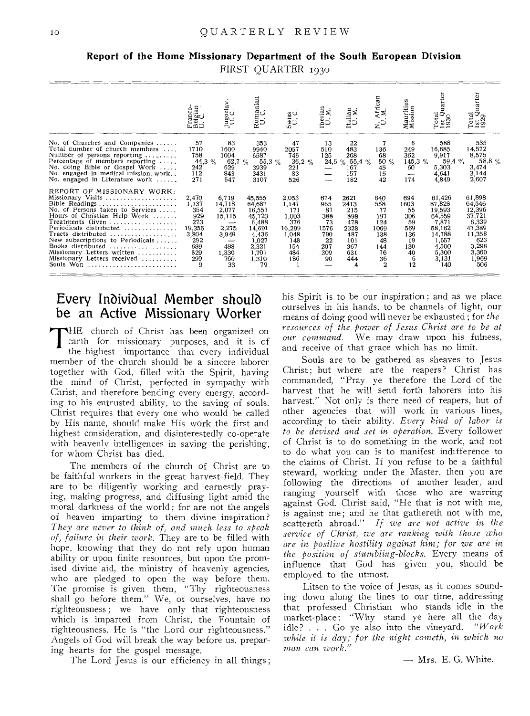#### Report of the Home Missionary Department of the South European Division FIRST OUARTER 1930

|                                                                                                                                                                                                                                                                                                                                               | Franco-<br>Belgian<br>U. C.                                                                        | Jugoslav.<br>U. C.                                                                           | Rumanian<br>U.C.                                                                                           | Swiss<br>U.C.                                                                        | lberian<br>U.M.                                                        | Italian<br>U.M.                                                                                | African<br>M.<br>$z^D$                                                                   | Mauritius<br>Mission                                                       | 1st Quarter<br>1930<br>Total                                                                                 | Total<br>1st Quarter<br>1929                                                                               |
|-----------------------------------------------------------------------------------------------------------------------------------------------------------------------------------------------------------------------------------------------------------------------------------------------------------------------------------------------|----------------------------------------------------------------------------------------------------|----------------------------------------------------------------------------------------------|------------------------------------------------------------------------------------------------------------|--------------------------------------------------------------------------------------|------------------------------------------------------------------------|------------------------------------------------------------------------------------------------|------------------------------------------------------------------------------------------|----------------------------------------------------------------------------|--------------------------------------------------------------------------------------------------------------|------------------------------------------------------------------------------------------------------------|
| No. of Churches and Companies<br>Total number of church members<br>Number of persons reporting $\dots\dots$<br>Percentage of members reporting<br>No. doing Bible or Gospel Work<br>No. engaged in medical mission. work<br>No. engaged in Literature work                                                                                    | 57<br>1710<br>758<br>44,3 $%$<br>242<br>112<br>271                                                 | 83<br>1600<br>1004<br>62,7<br>629<br>843<br>547                                              | 353<br>9940<br>6587<br>55,3 $%$<br>$\%$<br>3939<br>3431<br>3107                                            | 47<br>2057<br>745<br>36,2%<br>221<br>83<br>526                                       | 13<br>510<br>125<br>24,5                                               | 22<br>483<br>268<br>% 55,4%<br>167<br>157<br>182                                               | 136<br>68<br>50 %<br>45<br>15<br>42                                                      | 6<br>249<br>362<br>145,3 %<br>60<br>$\overline{\phantom{0}}$<br>174        | 588<br>16,685<br>$9,917$<br>59,4 %<br>5,303<br>4,641<br>4,849                                                | 535<br>14,572<br>8,575<br>58,8 %<br>3,474<br>3,144<br>2,607                                                |
| REPORT OF MISSIONARY WORK:<br>Missionary Visits<br>Bible Readings<br>No. of Persons taken to Services<br>Hours of Christian Help Work<br>Treatments Given<br>Periodicals distributed<br>Tracts distributed<br>New subscriptions to Periodicals<br>Books distributed<br>Missionary Letters written<br>Missionary Letters received<br>Souls Won | 2,470<br>1,737<br>354<br>929<br>273<br>19,355<br>3,804<br>292<br>689<br>829<br>299<br>$\mathbf{9}$ | 6,719<br>14,718<br>2,077<br>15,115<br>—<br>2,275<br>3,949<br>--<br>488<br>1,330<br>760<br>33 | 45.555<br>64.687<br>16,557<br>45,723<br>6,488<br>14,691<br>4,436<br>1,027<br>2,321<br>1,701<br>1,310<br>79 | 2,053<br>1,147<br>171<br>1,003<br>376<br>16,299<br>1,048<br>148<br>154<br>484<br>186 | 674<br>965<br>87<br>388<br>73<br>1576<br>790<br>22<br>207<br>209<br>90 | 2621<br>2413<br>215<br>898<br>478<br>2328<br>487<br>101<br>367<br>631<br>444<br>$\overline{4}$ | 640<br>558<br>77<br>197<br>124<br>1069<br>138<br>48<br>144<br>76<br>36<br>$\mathfrak{D}$ | 694<br>1603<br>55<br>306<br>59<br>569<br>136<br>19<br>130<br>40<br>6<br>12 | 61,426<br>87,828<br>19,593<br>64,559<br>7,871<br>58,162<br>14,788<br>1,657<br>4,500<br>5,300<br>3,131<br>140 | 61,898<br>64,546<br>12,396<br>37,721<br>6,339<br>47,389<br>11,358<br>623<br>3,298<br>3,360<br>1,969<br>506 |

## Every Individual Member should be an Active Missionary Worker

THE church of Christ has been organized on earth for missionary purposes, and it is of the highest importance that every individual member of the church should be a sincere laborer together with God, filled with the Spirit, having the mind of Christ, perfected in sympathy with Christ, and therefore bending every energy, according to his entrusted ability, to the saving of souls. Christ requires that every one who would be called by His name, should make His work the first and highest consideration, and disinterestedly co-operate with heavenly intelligences in saving the perishing. for whom Christ has died.

The members of the church of Christ are to be faithful workers in the great harvest-field. They are to be diligently working and earnestly praying, making progress, and diffusing light amid the moral darkness of the world; for are not the angels of heaven imparting to them divine inspiration? They are never to think of, and much less to speak of, failure in their work. They are to be filled with hope, knowing that they do not rely upon human ability or upon finite resources, but upon the promised divine aid, the ministry of heavenly agencies, who are pledged to open the way before them. The promise is given them, "Thy righteousness shall go before them." We, of ourselves, have no righteousness; we have only that righteousness which is imparted from Christ, the Fountain of righteousness. He is "the Lord our righteousness." Angels of God will break the way before us, preparing hearts for the gospel message.

The Lord Jesus is our efficiency in all things;

his Spirit is to be our inspiration; and as we place ourselves in his hands, to be channels of light, our means of doing good will never be exhausted; for the resources of the power of Jesus Christ are to be at our command. We may draw upon his fulness, and receive of that grace which has no limit.

Souls are to be gathered as sheaves to Jesus Christ: but where are the reapers? Christ has commanded, "Pray ye therefore the Lord of the harvest that he will send forth laborers into his harvest." Not only is there need of reapers, but of other agencies that will work in various lines, according to their ability. Every kind of labor is to be devised and set in operation. Every follower of Christ is to do something in the work, and not to do what you can is to manifest indifference to the claims of Christ. If you refuse to be a faithful steward, working under the Master, then you are following the directions of another leader, and ranging yourself with those who are warring against God. Christ said, "He that is not with me, is against me; and he that gathereth not with me, scattereth abroad." If we are not active in the service of Christ, we are ranking with those who are in positive hostility against him; for we are in the position of stumbling-blocks. Every means of influence that God has given you, should be employed to the utmost.

Litsen to the voice of Jesus, as it comes sounding down along the lines to our time, addressing that professed Christian who stands idle in the market-place: "Why stand ye here all the day  $W$ ork idle? . . . Go ye also into the vineyard. while it is day; for the night cometh, in which no man can work."

- Mrs. E. G. White.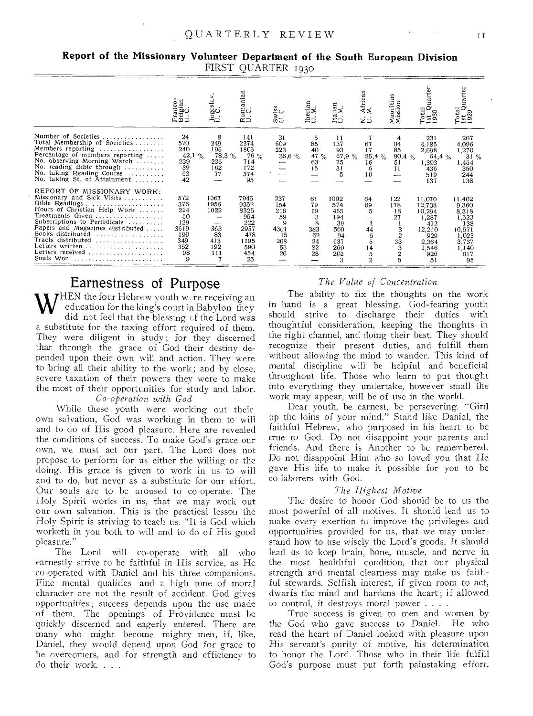|                                                                                                                                                                                                                                                                                                   | Franco-<br>Belgian<br>U.C.                                             | Jugoslav.<br>U.C.                                                                             | Rumanian<br>U.C.                                                              | Swiss<br>U.C.                                                 | Iberian<br>U.M.                                         | Italian<br>U.M.                                                        | $\begin{array}{ll} \Lambda trican \\ M. \end{array}$<br>zb                          | Mauritius<br>Mission                                                                                                  | Total<br>1st Quarter<br>1930                                                               | Total<br>1st Quarter<br>1929                                                               |
|---------------------------------------------------------------------------------------------------------------------------------------------------------------------------------------------------------------------------------------------------------------------------------------------------|------------------------------------------------------------------------|-----------------------------------------------------------------------------------------------|-------------------------------------------------------------------------------|---------------------------------------------------------------|---------------------------------------------------------|------------------------------------------------------------------------|-------------------------------------------------------------------------------------|-----------------------------------------------------------------------------------------------------------------------|--------------------------------------------------------------------------------------------|--------------------------------------------------------------------------------------------|
| Number of Societies<br>Total Membership of Societies<br>Members reporting<br>Percentage of members reporting<br>No. observing Morning Watch<br>No. reading Bible through<br>No. taking Reading Course<br>No. taking St. of Attainment                                                             | 24<br>570<br>240<br>42,1<br>$\%$<br>239<br>39<br>53<br>42              | 8<br>249<br>195<br>78,3 %<br>235<br>162<br>77<br>--                                           | 141<br>2374<br>1805<br>76 %<br>714<br>172<br>374<br>95                        | 31<br>609<br>223<br>36,6%<br>--                               | 5<br>85<br>40<br>47 %<br>63<br>15                       | 11<br>137<br>93<br>67,9 %<br>75<br>31<br>5                             | 7<br>67<br>17<br>$25,4\%$<br>16<br>6<br>10                                          | 4<br>94<br>85<br>90,4 %<br>51<br>11                                                                                   | 231<br>4,185<br>$^{2,698}_{64,4\%}$<br>1,393<br>436<br>519<br>137                          | 207<br>4,096<br>1,270<br>$31\%$<br>1,454<br>350<br>244<br>138                              |
| REPORT OF MISSIONARY WORK:<br>Missionary and Sick Visits<br>Bible Readings<br>Hours of Christian Help Work<br>Treatments Given<br>Subscriptions to Periodicals<br>Papers and Magazines distributed<br>Books distributed<br>Tracts distributed<br>Letters written<br>Letters received<br>Souls Won | 572<br>376<br>224<br>50<br>129<br>3619<br>190<br>349<br>352<br>98<br>9 | 1067<br>1956<br>1022<br>$\overline{\phantom{0}}$<br>--<br>363<br>83<br>413<br>192<br>111<br>7 | 7945<br>9352<br>8325<br>954<br>222<br>2937<br>478<br>1195<br>590<br>454<br>25 | 237<br>154<br>216<br>59<br>9<br>4301<br>15<br>208<br>53<br>26 | 61<br>79<br>19<br>3<br>8<br>383<br>62<br>24<br>82<br>28 | 1002<br>574<br>465<br>194<br>39<br>560<br>94<br>137<br>260<br>202<br>3 | 64<br>69<br>5<br>--<br>$\overline{4}$<br>44<br>$\frac{5}{5}$<br>14<br>$\frac{5}{2}$ | 122<br>178<br>18<br>27<br>$\frac{3}{2}$<br>$\begin{array}{c}\n 3\overline{3} \\ 3 \\ \overline{2} \\ 5\n \end{array}$ | 11,070<br>12,738<br>10,294<br>1,287<br>412<br>12,210<br>929<br>2,364<br>1,546<br>926<br>51 | 11,402<br>9,360<br>8,318<br>1,523<br>138<br>10,571<br>1,023<br>3,737<br>1,140<br>617<br>95 |

#### **Report of the Missionary Volunteer Department of the South European Division**  FIRST QUARTER 1930

## Earnestness of Purpose

 $\mathbf{W}^\text{HEN}$  the four Hebrew youth were receiving an education for the king's court in Babylon they did not feel that the blessing of the Lord was education for the king's court in Babylon they did not feel that the blessing of the Lord was a substitute for the taxing effort required of them. They were diligent in study; for they discerned that through the grace of God their destiny depended upon their own will and action. They were to bring all their ability to the work ; and by close, severe taxation of their powers they were to make the most of their opportunities for study and labor.

*Co-operation with God* 

While these youth were working out their own salvation, God was working in them to will and to do of His good pleasure. Here are revealed the conditions of success. To make God's grace our own, we must act our part. The Lord does not propose to perform for us either the willing or the doing. His grace is given to work in us to will and to do, but never as a substitute for our effort. Our souls are to be aroused to co-operate. The Holy Spirit works in us, that we may work out our own salvation. This is the practical lesson the Holy Spirit is striving to teach us. "It is God which worketh in you both to will and to do of His good pleasure."

The Lord will co-operate with all who earnestly strive to be faithful in His service, as He co-operated with Daniel and his three companions. Fine mental qualities and a high tone of moral character are not the result of accident. God gives opportunities ; success depends upon the use made of them. The openings of Providence must be quickly discerned and eagerly entered. There are many who might become mighty men, if, like, Daniel, they would depend upon God for grace to be overcomers, and for strength and efficiency to do their work. . . .

#### *The Value of Concentration*

The ability to fix the thoughts on the work in hand is a great blessing. God-fearing youth should strive to discharge their duties with thoughtful consideration, keeping the thoughts in the right channel, and doing their best. They should recognize their present duties, and fulfill them without allowing the mind to wander. This kind of mental discipline will be helpful and beneficial throughout life. Those who learn to put thought into everything they undertake, however small the work may appear, will be of use in the world.

Dear youth, be earnest, be persevering. "Gird up the loins of your mind." Stand like Daniel, the faithful Hebrew, who purposed in his heart to be true to God. Do not disappoint your parents and friends. And there is Another to be remembered. Do not disappoint Him who so loved you that He gave His life to make it possible for you to be co-laborers with God.

#### *The Highest Motive*

The desire to honor God should be to us the most powerful of all motives. It should lead us to make every exertion to improve the privileges and opportunities provided for us, that we may understand how to use wisely the Lord's goods. It should lead us to keep brain, bone, muscle, and nerve in the most healthful condition, that our physical strength and mental clearness may make us faithful stewards. Selfish interest, if *given* room to act, dwarfs the mind and hardens the heart; if allowed to control, it destroys moral power . . . .

True success is given to men and women by the God who *gave success* to Daniel. He who read the heart of Daniel looked with pleasure upon His servant's purity of motive, his determination to honor the Lord. Those who in their life fulfill God's purpose must put forth painstaking effort,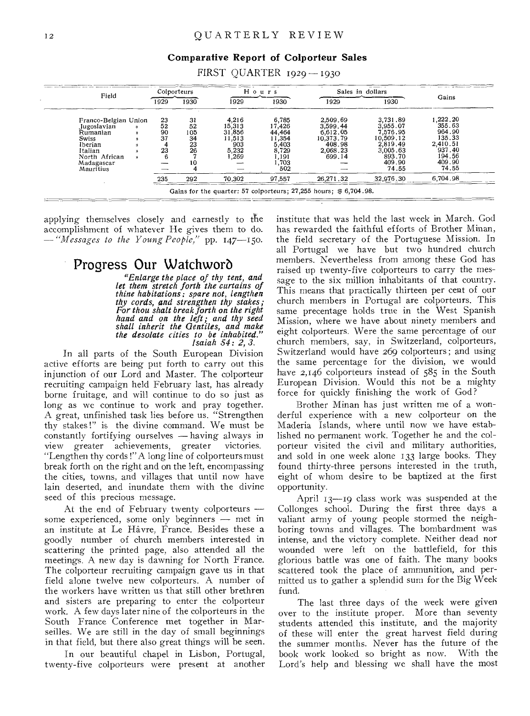#### **Comparative Report of Colporteur Sales**

FIRST QUARTER 1929 —1930

| Field                | Colporteurs |      |        | Hours  | Sales in dollars                                                   |           |          |
|----------------------|-------------|------|--------|--------|--------------------------------------------------------------------|-----------|----------|
|                      | 1929        | 1930 | 1929   | 1930   | 1929                                                               | 1930      | Gains    |
| Franco-Belgian Union | 23          | 31   | 4,216  | 6,785  | 2,509.69                                                           | 3,731,89  | 1,222,20 |
| Jugoslavian          | 52          | 52   | 15,313 | 17,426 | 3.599.44                                                           | 3,955.07  | 355.63   |
| Rumanian             | 90          | 105  | 31,856 | 44,464 | 6,612.05                                                           | 7,576,95  | 964.90   |
| Swiss                | 37          | 34   | 11,513 | 11,354 | 10,373.79                                                          | 10.509.12 | 135.33   |
| Iberian              | 4           | 23   | 903    | 5,403  | 408.98                                                             | 2,819.49  | 2,410.51 |
| Italian              | 23          | 26   | 5,232  | 8,729  | 2.068.23                                                           | 3.005.63  | 937.40   |
| North African        | 6           |      | 1,269  | l,191  | 699.14                                                             | 893.70    | 194.56   |
| Madagascar           |             |      |        | l,703  |                                                                    | 409.90    | 409.90   |
| Mauritius            |             |      |        | 502    |                                                                    | 74.55     | 74 55    |
|                      | 235         | 292  | 70,302 | 97,557 | 26, 271, 32                                                        | 32,976,30 | 6,704.98 |
|                      |             |      |        |        | Gains for the quarter: 57 colporteurs; 27,255 hours; $$6,704.98$ . |           |          |

applying themselves closely and earnestly to the accomplishment of whatever He gives them to do. *—"Messages to the Young People,"* pp. 147-150.

## Progress Our Watchword

*"Enlarge the place of thy tent, and let them stretch forth the curtains of thine habitations: spare not, lengthen thy cords, and strengthen thy stakes; For thou shalt break forth on the right hand and on the left; and thy seed shall inherit the Gentiles, and make the desolate cities to be inhabited." Isaiah 54: 2,3.* 

In all parts of the South European Division active efforts are being put forth to carry out this injunction of our Lord and Master. The colporteur recruiting campaign held February last, has already borne fruitage, and will continue to do so just as long as we continue to work and pray together. A great, unfinished task lies before us. "Strengthen thy stakes !" is the divine command. We must be constantly fortifying ourselves — having always in view greater achievements, greater victories. "Lengthen thy cords !" A long line of colporteurs must break forth on the right and on the left, encompassing the cities, towns, and villages that until now have lain deserted, and inundate them with the divine seed of this precious message.

At the end of February twenty colporteurs some experienced, some only beginners — met in an institute at Le Havre, France. Besides these a goodly number of church members interested in scattering the printed page, also attended all the meetings. A new day is dawning for North France. The colporteur recruiting campaign gave us in that field alone twelve new colporteurs. A number of the workers have written us that still other brethren and sisters are preparing to enter the colporteur work. A few days later nine of the colporteurs in the South France Conference met together in Marseilles. We are still in the day of small beginnings in that field, but there also great things will be seen.

In our beautiful chapel in Lisbon, Portugal, twenty-five colporteurs were present at another institute that was held the last week in March. God has rewarded the faithful efforts of Brother Minan, the field secretary of the Portuguese Mission. In all Portugal we have but two hundred church members. Nevertheless from among these God has raised up twenty-five colporteurs to carry the message to the six million inhabitants of that country. This means that practically thirteen per cent of our church members in Portugal are colporteurs. This same precentage holds true in the West Spanish Mission, where we have about ninety members and eight colporteurs. Were the same percentage of our church members, say, in Switzerland, colporteurs, Switzerland would have 269 colporteurs ; and using the same percentage for the division, we would have 2,146 colporteurs instead of 585 in the South European Division. Would this not be a mighty force for quickly finishing the work of God?

Brother Minan has just written me of a wonderful experience with a new colporteur on the Maderia Islands, where until now we have established no permanent work. Together he and the colporteur visited the civil and military authorities, and sold in one week alone 133 large books. They found thirty-three persons interested in the truth, eight of whom desire to be baptized at the first opportunity.

April  $13$ -19 class work was suspended at the Collonges school. During the first three days a valiant army of young people stormed the neighboring towns and villages. The bombardment was intense, and the victory complete. Neither dead nor wounded were left on the battlefield, for this glorious battle was one of faith. The many books scattered took the place of ammunition, and permitted us to gather a splendid sum for the Big Week fund.

The last three days of the week were given over to the institute proper. More than seventy students attended this institute, and the majority of these will enter the great harvest field during the summer months. Never has the future of the book work looked so bright as now. With the Lord's help and blessing we shall have the most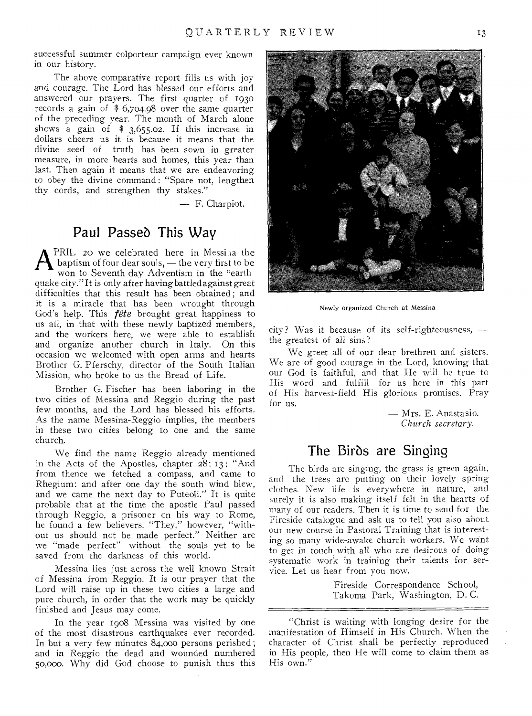successful summer colporteur campaign ever known in our history.

The above comparative report fills us with joy and courage. The Lord has blessed our efforts and answered our prayers. The first quarter of 1930 records a gain of \$ 6,704.98 over the same quarter of the preceding year. The month of March alone shows a gain of \$ 3,655.02. If this increase in dollars cheers us it is because it means that the divine seed of truth has been sown in greater measure, in more hearts and homes, this year than last. Then again it means that we are endeavoring to obey the divine command: "Spare not, lengthen thy cords, and strengthen thy stakes."

— F. Charpiot.

## Paul Passed This Way

**A** PRIL 20 we celebrated here in Messina the baptism of four dear souls, — the very first to be won to Seventh day Adventism in the "earth quake city." It *is* only after having battled against great difficulties that this result has been obtained; and it is a miracle that has been wrought through God's help. This *fete* brought great happiness to us all, in that with these newly baptized members, and the workers here, we were able to establish and organize another church in Italy. On this occasion we welcomed with open arms and hearts Brother G. Pferschy, director of the South Italian Mission, who broke to us the Bread of Life.

Brother G. Fischer has been laboring in the two cities of Messina and Reggio during the past few months, and the Lord has blessed his efforts. As the name Messina-Reggio implies, the members in these two cities belong to one and the same church.

We find the name Reggio already mentioned in the Acts of the Apostles, chapter 28: 13: "And from thence we fetched a compass, and came to Rhegium: and after one day the south wind blew, and we came the next day to Puteoli." It is quite probable that at the time the apostle Paul passed through Reggio, a prisoner on his way to Rome, he found a few believers. "They," however, "without us should not be made perfect." Neither are we "made perfect" without the souls yet to be saved from the darkness of this world.

Messina lies just across the well known Strait of Messina from Reggio. It is our prayer that the Lord will raise up in these two cities a large and pure church, in order that the work may be quickly finished and Jesus may come.

In the year 1908 Messina was visited by one of the most disastrous earthquakes ever recorded. In but a very few minutes 84,000 persons perished ; and in Reggio the dead and wounded numbered 50,000. Why did God choose to punish thus this



Newly organized Church at Messina

city? Was it because of its self-righteousness, the greatest of all sins?

We greet all of our dear brethren and sisters. We are of good courage in the Lord, knowing that our God is faithful, and that He will be true to His word and fulfill for us here in this part of His harvest-field His glorious promises. Pray for us.

> — Mrs. E. Anastasio. *Church secretary.*

## The Biros are Singing

The birds are singing, the grass is green again, and the trees are putting on their lovely spring clothes. New life is everywhere in nature, and surely it is also making itself felt in the hearts of many of our readers. Then it is time to send for the Fireside catalogue and ask us to tell you also about our new course in Pastoral Training that is interesting so many wide-awake church workers. We want to get in touch with all who are desirous of doing systematic work in training their talents for service. Let us hear from you now.

> Fireside Correspondence School, Takoma Park, Washington, D. C.

"Christ is waiting with longing desire for the manifestation of Himself in His Church. When the character of Christ shall be perfectly reproduced in His people, then He will come to claim them as His own."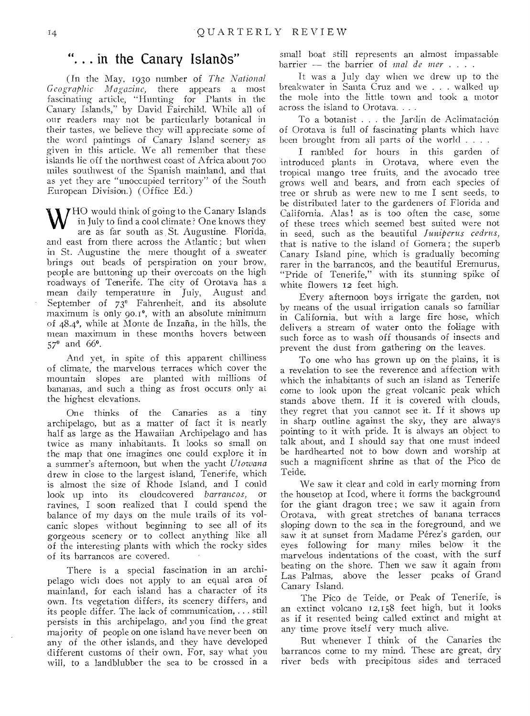## "... in the Canary Islands"

(In the May, 193o number of *The National Geographic Magarine,* there appears a most fascinating article, "Hunting for Plants in the Canary Islands," by David Fairchild. While all of our readers may not be particularly botanical in their tastes, we believe they will appreciate some of the word paintings of Canary Island scenery as given in this article. We all remember that these islands lie off the northwest coast of Africa about 700 miles southwest of the Spanish mainland, and that as yet they are "unoccupied territory" of the South European Division.) (Office Ed.)

W HO would think of going to the Canary Islands<br>in July to find a cool climate? One knows they<br>are as far south as St. Augustine. Florida, in July to find a cool climate ? One knows they are as far south as St. Augustine. Florida, and east from there across the Atlantic ; but when in St. Augustine the mere thought of a sweater brings out beads of perspiration on your brow, people are buttoning up their overcoats on the high roadways of Tenerife. The city of Orotava has a mean daily temperature in July, August and September of 73° Fahrenheit, and its absolute maximum is only 90.1°, with an absolute minimum of  $48.4$ <sup>o</sup>, while at Monte de Inzaña, in the hills, the mean maximum in these months hovers between 57° and 66°.

And yet, in spite of this apparent chilliness of climate, the marvelous terraces which cover the mountain slopes are planted with millions of bananas, and such a thing as frost occurs only at the highest elevations.

One thinks of the Canaries as a tiny archipelago, but as a matter of fact it is nearly half as large as the Hawaiian Archipelago and has twice as many inhabitants. It looks so small on the map that one imagines one could explore it in a summer's afternoon, but when the yacht *Utowana*  drew in close to the largest island, Tenerife, which is almost the size of Rhode Island, and I could look up into its cloudcovered *barrancos,* or ravines, I soon realized that I could spend the balance of my days on the mule trails of its volcanic slopes without beginning to see all of its gorgeous scenery or to collect anything like all of the interesting plants with which the rocky sides of its barrancos are covered.

There is a special fascination in an archipelago wich does not apply to an equal area of mainland, for each island has a character of its own. Its vegetation differs, its scenery differs, and its people differ. The lack of communication, ... still persists in this archipelago, and you find the great majority of people on one island have never been on any of the other islands, and they have developed different customs of their own. For, say what you will, to a landblubber the sea to be crossed in a

small boat still represents an almost impassable barrier — the barrier of *mal de mer....* 

It was a July day when we drew up to the breakwater in Santa Cruz and we . . walked up the mole into the little town and took a motor across the island to Orotava....

To a botanist . . . the Jardín de Aclimatación of Orotava is full of fascinating plants which have been brought from all parts of the world . . . .

I rambled for hours in this garden of introduced plants in Orotava, where even the tropical mango tree fruits, and the avocado tree grows well and bears, and from each species of tree or shrub as were new to me I sent seeds, to be distributed later to the gardeners of Florida and California. Alas! as is too often the case, some of these trees which seemed best suited were not in seed, such as the beautiful *Juniperus cedrus,*  that is native to the island of Gomera ; the superb Canary Island pine, which is gradually becoming rarer in the barrancos, and the beautiful Eremurus, "Pride of Tenerife," with its stunning spike of white flowers 12 feet high.

Every afternoon boys irrigate the garden, not by means of the usual irrigation canals so familiar in California, but with a large fire hose, which delivers a stream of water onto the foliage with such force as to wash off thousands of insects and prevent the dust from gathering on the leaves.

To one who has grown up on the plains, it is a revelation to see the reverence and affection with which the inhabitants of such an island as Tenerife come to look upon the great volcanic peak which stands above them. If it is covered with clouds, they regret that you cannot see it. If it shows up in sharp outline against the sky, they are always pointing to it with pride. It is always an object to talk about, and I should say that one must indeed be hardhearted not to bow down and worship at such a magnificent shrine as that of the Pico de Teide.

We saw it clear and cold in early morning from the housetop at Icod, where it forms the background for the giant dragon tree; we saw it again from Orotava, with great stretches of banana terraces sloping down to the sea in the foreground, and we saw it at sunset from Madame Pérez's garden, our eyes following for many miles below it the marvelous indentations of the coast, with the surf beating on the shore. Then we saw it again from Las Palmas, above the lesser peaks of Grand Canary Island.

The Pico de Teide, or Peak of Tenerife, is an extinct volcano 12,158 feet high, but it looks as if it resented being called extinct and might at any time prove itself very much alive.

Rut whenever I think of the Canaries the barrancos come to my mind. These are great, dry river beds with precipitous sides and terraced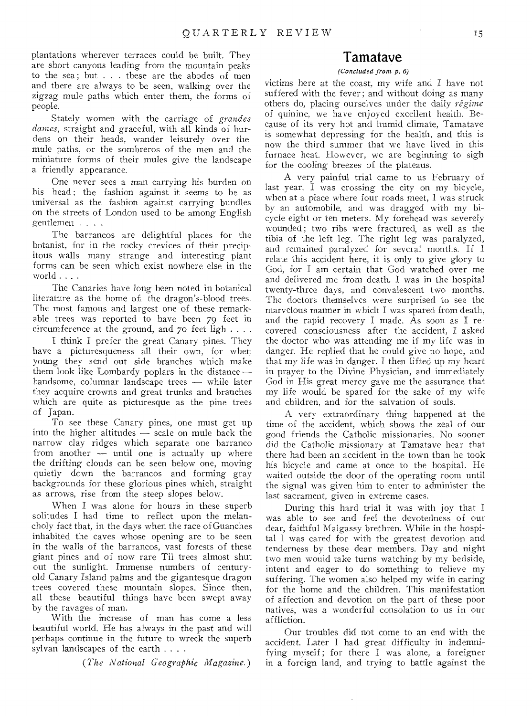plantations wherever terraces could be built. They are short canyons leading from the mountain peaks to the sea; but . . . these are the abodes of men and there are always to be seen, walking over the zigzag mule paths which enter them, the forms of people.

Stately women with the carriage of *grandes dames,* straight and graceful, with all kinds of burdens on their heads, wander leisurely over the mule paths, or the sombreros of the men and the miniature forms of their mules give the landscape a friendly appearance.

One never sees a man carrying his burden on his head; the fashion against it seems to be as universal as the fashion against carrying bundles on the streets of London used to be among English gentlemen . . .

The barrancos are delightful places for the botanist, for in the rocky crevices of their precipitous walls many strange and interesting plant forms can be seen which exist nowhere else in the world . . .

The Canaries have long been noted in botanical literature as the home of the dragon's-blood trees. The most famous and largest one of these remarkable trees was reported to have been 79 feet in circumference at the ground, and 70 feet ligh . . . .

I think I prefer the great Canary pines. They have a picturesqueness all their own, for when young they send out side branches which make them look like Lombardy poplars in the distance handsome, columnar landscape trees — while later they acquire crowns and great trunks and branches which are quite as picturesque as the pine trees of Japan.

To see these Canary pines, one must get up into the higher altitudes — scale on mule back the narrow clay ridges which separate one barranco from another — until one is actually up where the drifting clouds can be seen below one, moving quietly down the barrancos and forming gray backgrounds for these glorious pines which, straight *as* arrows, rise from the steep slopes below.

When I was alone for hours in these superb solitudes I had time to reflect upon the melancholy fact that, in the days when the race of Guanches inhabited the caves whose opening are to be seen in the walls of the barrancos, vast forests of these giant pines and of now rare Til trees almost shut out the sunlight. Immense numbers of centuryold Canary Island palms and the gigantesque dragon trees covered these mountain slopes. Since then, all these beautiful things have been swept away by the ravages of man.

With the increase of man has come a less beautiful world. He has always in the past and will perhaps continue in the future to wreck the superb sylvan landscapes of the earth . . . .

*(The National Geographic Magazine.)* 

## Tamatave

#### *(Concluded from p. 6)*

victims here at the coast, my wife and I have not suffered with the fever; and without doing as many others do, placing ourselves under the daily *regime*  of quinine, we have enjoyed excellent health. Because of its very hot and humid climate, Tamatave is somewhat depressing for the health, and this is now the third summer that we have lived in this furnace heat. However, we are beginning to sigh for the cooling breezes of the plateaus.

A very painful trial came to us February of last year. I was crossing the city on my bicycle, when at a place where four roads meet, I was struck by an automobile, and was dragged with my bicycle eight or ten meters. My forehead was severely wounded; two ribs were fractured, as well as the tibia of the left leg. The right leg was paralyzed, and remained paralyzed for several months. If I relate this accident here, it is only to give glory to God, for I am certain that God watched over me and delivered me from death. I was in the hospital twenty-three days, and convalescent two months. The doctors themselves were surprised to see the marvelous manner in which I was spared from death, and the rapid recovery I made. As soon as I recovered consciousness after the accident, I asked the doctor who was attending me if my life was in danger. He replied that he could give no hope, and that my life was in danger. I then lifted up my heart in prayer to the Divine Physician, and immediately God in His great mercy gave me the assurance that my life would be spared for the sake of my wife and children, and for the salvation of souls.

A very extraordinary thing happened at the time of the accident, which shows the zeal of our good friends the Catholic missionaries. No sooner did the Catholic missionary at Tamatave hear that there had been an accident in the town than he took his bicycle and came at once to the hospital. He waited outside the door of the operating room until the signal was given him to enter to administer the last sacrament, given in extreme cases.

During this hard trial it was with joy that I was able to see and feel the devotedness of our dear, faithful Malgassy brethren. While in the hospital I was cared for with the greatest devotion and tenderness by these dear members. Day and night two men would take turns watching by my bedside, intent and eager to do something to relieve my suffering. The women also helped my wife in caring for the home and the children. This manifestation of affection and devotion on the part of these poor natives, was a wonderful consolation to us in our affliction.

Our troubles did not come to an end with the accident. Later I had great difficulty in indemnifying myself; for there I was alone, a foreigner in a foreign land, and trying to battle against the